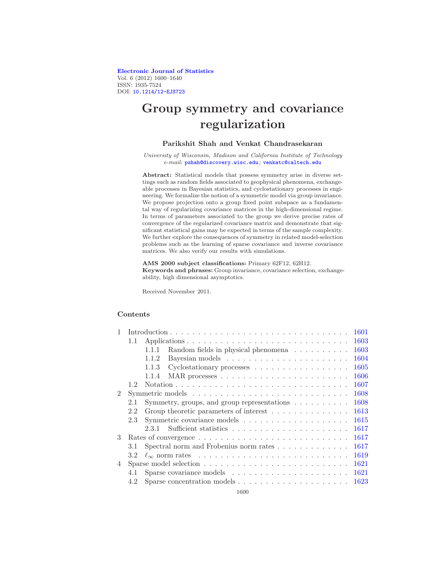[Electronic Journal of Statistics](http://projecteuclid.org/ejs) Vol. 6 (2012) 1600–1640 ISSN: 1935-7524 DOI: [10.1214/12-EJS723](http://dx.doi.org/10.1214/12-EJS723)

# Group symmetry and covariance regularization

# Parikshit Shah and Venkat Chandrasekaran

*University of Wisconsin, Madison and California Institute of Technology e-mail:* [pshah@discovery.wisc.edu](mailto:pshah@discovery.wisc.edu)*;* [venkatc@caltech.edu](mailto:venkatc@caltech.edu)

Abstract: Statistical models that possess symmetry arise in diverse settings such as random fields associated to geophysical phenomena, exchangeable processes in Bayesian statistics, and cyclostationary processes in engineering. We formalize the notion of a symmetric model via group invariance. We propose projection onto a group fixed point subspace as a fundamental way of regularizing covariance matrices in the high-dimensional regime. In terms of parameters associated to the group we derive precise rates of convergence of the regularized covariance matrix and demonstrate that significant statistical gains may be expected in terms of the sample complexity. We further explore the consequences of symmetry in related model-selection problems such as the learning of sparse covariance and inverse covariance matrices. We also verify our results with simulations.

#### AMS 2000 subject classifications: Primary 62F12, 62H12.

Keywords and phrases: Group invariance, covariance selection, exchangeability, high dimensional asymptotics.

Received November 2011.

# Contents

|                |               | 1601                                                                            |
|----------------|---------------|---------------------------------------------------------------------------------|
|                | 1.1           | 1603                                                                            |
|                |               | 1603<br>Random fields in physical phenomena<br>1.1.1                            |
|                |               | 1604<br>1.1.2                                                                   |
|                |               | 1605<br>1.1.3                                                                   |
|                |               | 1606<br>1.1.4                                                                   |
|                | 1.2           | 1607                                                                            |
| $\overline{2}$ |               | 1608                                                                            |
|                | 2.1           | 1608<br>Symmetry, groups, and group representations $\dots \dots \dots$         |
|                | 2.2           | Group theoretic parameters of interest<br>1613                                  |
|                | 2.3           | 1615<br>Symmetric covariance models $\dots \dots \dots \dots \dots \dots \dots$ |
|                |               | 1617                                                                            |
| 3              |               | 1617                                                                            |
|                | 3.1           | 1617<br>Spectral norm and Frobenius norm rates                                  |
|                | $3.2^{\circ}$ | 1619                                                                            |
|                |               | 1621                                                                            |
|                | 4.1           | 1621                                                                            |
|                | 4.2           | 1623                                                                            |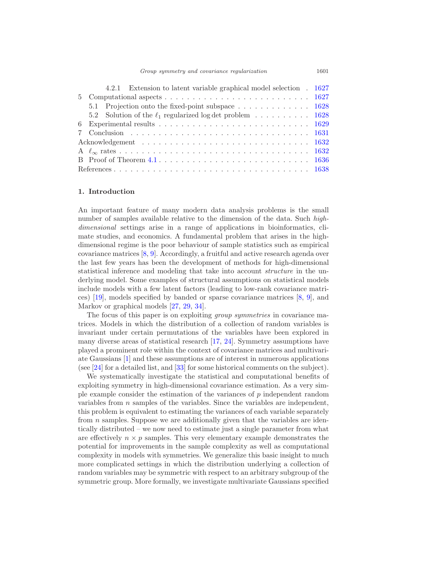|   | 4.2.1 Extension to latent variable graphical model selection . 1627             |  |
|---|---------------------------------------------------------------------------------|--|
| 5 |                                                                                 |  |
|   | 5.1 Projection onto the fixed-point subspace $\ldots \ldots \ldots \ldots 1628$ |  |
|   | 5.2 Solution of the $\ell_1$ regularized log det problem 1628                   |  |
|   |                                                                                 |  |
|   |                                                                                 |  |
|   |                                                                                 |  |
|   |                                                                                 |  |
|   |                                                                                 |  |
|   |                                                                                 |  |

# <span id="page-1-0"></span>1. Introduction

An important feature of many modern data analysis problems is the small number of samples available relative to the dimension of the data. Such highdimensional settings arise in a range of applications in bioinformatics, climate studies, and economics. A fundamental problem that arises in the highdimensional regime is the poor behaviour of sample statistics such as empirical covariance matrices [\[8,](#page-38-1) [9](#page-38-2)]. Accordingly, a fruitful and active research agenda over the last few years has been the development of methods for high-dimensional statistical inference and modeling that take into account structure in the underlying model. Some examples of structural assumptions on statistical models include models with a few latent factors (leading to low-rank covariance matrices) [\[19](#page-39-0)], models specified by banded or sparse covariance matrices [\[8,](#page-38-1) [9](#page-38-2)], and Markov or graphical models [\[27,](#page-39-1) [29,](#page-40-0) [34\]](#page-40-1).

The focus of this paper is on exploiting *group symmetries* in covariance matrices. Models in which the distribution of a collection of random variables is invariant under certain permutations of the variables have been explored in many diverse areas of statistical research [\[17](#page-39-2), [24](#page-39-3)]. Symmetry assumptions have played a prominent role within the context of covariance matrices and multivariate Gaussians [\[1\]](#page-38-3) and these assumptions are of interest in numerous applications (see [\[24\]](#page-39-3) for a detailed list, and [\[33\]](#page-40-2) for some historical comments on the subject).

We systematically investigate the statistical and computational benefits of exploiting symmetry in high-dimensional covariance estimation. As a very simple example consider the estimation of the variances of  $p$  independent random variables from n samples of the variables. Since the variables are independent, this problem is equivalent to estimating the variances of each variable separately from n samples. Suppose we are additionally given that the variables are identically distributed – we now need to estimate just a single parameter from what are effectively  $n \times p$  samples. This very elementary example demonstrates the potential for improvements in the sample complexity as well as computational complexity in models with symmetries. We generalize this basic insight to much more complicated settings in which the distribution underlying a collection of random variables may be symmetric with respect to an arbitrary subgroup of the symmetric group. More formally, we investigate multivariate Gaussians specified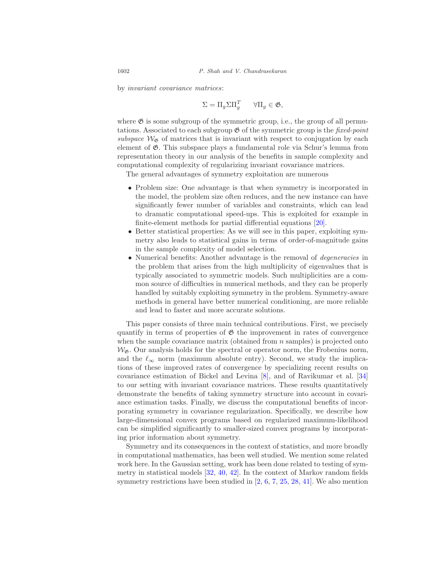by invariant covariance matrices:

$$
\Sigma = \Pi_g \Sigma \Pi_g^T \qquad \forall \Pi_g \in \mathfrak{G},
$$

where  $\mathfrak G$  is some subgroup of the symmetric group, i.e., the group of all permutations. Associated to each subgroup  $\mathfrak G$  of the symmetric group is the fixed-point subspace  $\mathcal{W}_{\mathfrak{G}}$  of matrices that is invariant with respect to conjugation by each element of G. This subspace plays a fundamental role via Schur's lemma from representation theory in our analysis of the benefits in sample complexity and computational complexity of regularizing invariant covariance matrices.

The general advantages of symmetry exploitation are numerous

- Problem size: One advantage is that when symmetry is incorporated in the model, the problem size often reduces, and the new instance can have significantly fewer number of variables and constraints, which can lead to dramatic computational speed-ups. This is exploited for example in finite-element methods for partial differential equations [\[20\]](#page-39-4).
- Better statistical properties: As we will see in this paper, exploiting symmetry also leads to statistical gains in terms of order-of-magnitude gains in the sample complexity of model selection.
- Numerical benefits: Another advantage is the removal of *degeneracies* in the problem that arises from the high multiplicity of eigenvalues that is typically associated to symmetric models. Such multiplicities are a common source of difficulties in numerical methods, and they can be properly handled by suitably exploiting symmetry in the problem. Symmetry-aware methods in general have better numerical conditioning, are more reliable and lead to faster and more accurate solutions.

This paper consists of three main technical contributions. First, we precisely quantify in terms of properties of  $\mathfrak G$  the improvement in rates of convergence when the sample covariance matrix (obtained from  $n$  samples) is projected onto  $\mathcal{W}_{\mathfrak{G}}$ . Our analysis holds for the spectral or operator norm, the Frobenius norm, and the  $\ell_{\infty}$  norm (maximum absolute entry). Second, we study the implications of these improved rates of convergence by specializing recent results on covariance estimation of Bickel and Levina [\[8](#page-38-1)], and of Ravikumar et al. [\[34\]](#page-40-1) to our setting with invariant covariance matrices. These results quantitatively demonstrate the benefits of taking symmetry structure into account in covariance estimation tasks. Finally, we discuss the computational benefits of incorporating symmetry in covariance regularization. Specifically, we describe how large-dimensional convex programs based on regularized maximum-likelihood can be simplified significantly to smaller-sized convex programs by incorporating prior information about symmetry.

Symmetry and its consequences in the context of statistics, and more broadly in computational mathematics, has been well studied. We mention some related work here. In the Gaussian setting, work has been done related to testing of symmetry in statistical models [\[32,](#page-40-3) [40,](#page-40-4) [42\]](#page-40-5). In the context of Markov random fields symmetry restrictions have been studied in [\[2,](#page-38-4) [6](#page-38-5), [7](#page-38-6), [25,](#page-39-5) [28](#page-39-6), [41\]](#page-40-6). We also mention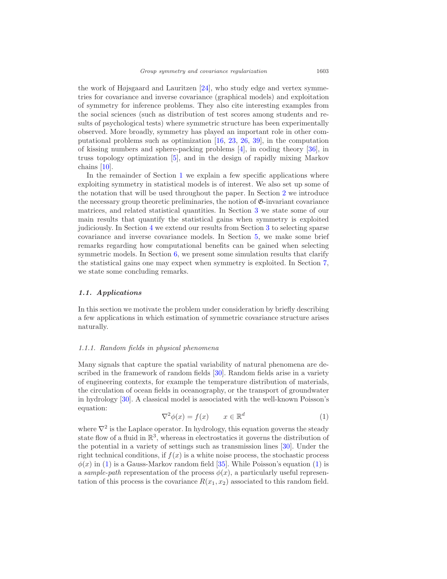the work of Højsgaard and Lauritzen [\[24\]](#page-39-3), who study edge and vertex symmetries for covariance and inverse covariance (graphical models) and exploitation of symmetry for inference problems. They also cite interesting examples from the social sciences (such as distribution of test scores among students and results of psychological tests) where symmetric structure has been experimentally observed. More broadly, symmetry has played an important role in other computational problems such as optimization [\[16](#page-39-7), [23](#page-39-8), [26,](#page-39-9) [39](#page-40-7)], in the computation of kissing numbers and sphere-packing problems [\[4](#page-38-7)], in coding theory [\[36\]](#page-40-8), in truss topology optimization [\[5\]](#page-38-8), and in the design of rapidly mixing Markov chains [\[10\]](#page-38-9).

In the remainder of Section [1](#page-1-0) we explain a few specific applications where exploiting symmetry in statistical models is of interest. We also set up some of the notation that will be used throughout the paper. In Section [2](#page-8-0) we introduce the necessary group theoretic preliminaries, the notion of  $\mathfrak{G}$ -invariant covariance matrices, and related statistical quantities. In Section [3](#page-17-1) we state some of our main results that quantify the statistical gains when symmetry is exploited judiciously. In Section [4](#page-21-0) we extend our results from Section [3](#page-17-1) to selecting sparse covariance and inverse covariance models. In Section [5,](#page-27-1) we make some brief remarks regarding how computational benefits can be gained when selecting symmetric models. In Section [6,](#page-29-0) we present some simulation results that clarify the statistical gains one may expect when symmetry is exploited. In Section [7,](#page-31-0) we state some concluding remarks.

# <span id="page-3-0"></span>1.1. Applications

In this section we motivate the problem under consideration by briefly describing a few applications in which estimation of symmetric covariance structure arises naturally.

#### <span id="page-3-1"></span>1.1.1. Random fields in physical phenomena

Many signals that capture the spatial variability of natural phenomena are de-scribed in the framework of random fields [\[30](#page-40-9)]. Random fields arise in a variety of engineering contexts, for example the temperature distribution of materials, the circulation of ocean fields in oceanography, or the transport of groundwater in hydrology [\[30](#page-40-9)]. A classical model is associated with the well-known Poisson's equation:

<span id="page-3-2"></span>
$$
\nabla^2 \phi(x) = f(x) \qquad x \in \mathbb{R}^d \tag{1}
$$

where  $\nabla^2$  is the Laplace operator. In hydrology, this equation governs the steady state flow of a fluid in  $\mathbb{R}^3$ , whereas in electrostatics it governs the distribution of the potential in a variety of settings such as transmission lines [\[30](#page-40-9)]. Under the right technical conditions, if  $f(x)$  is a white noise process, the stochastic process  $\phi(x)$  in [\(1\)](#page-3-2) is a Gauss-Markov random field [\[35\]](#page-40-10). While Poisson's equation (1) is a sample-path representation of the process  $\phi(x)$ , a particularly useful representation of this process is the covariance  $R(x_1, x_2)$  associated to this random field.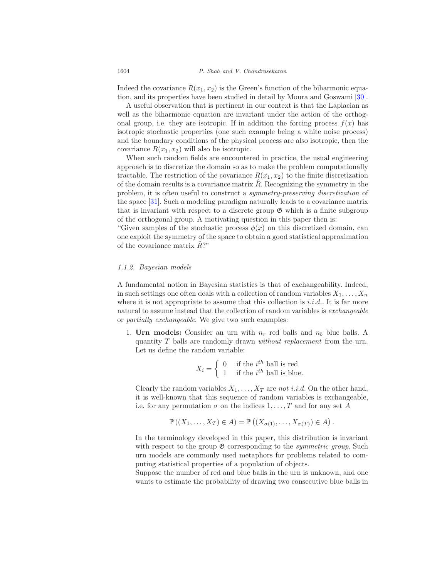Indeed the covariance  $R(x_1, x_2)$  is the Green's function of the biharmonic equation, and its properties have been studied in detail by Moura and Goswami [\[30\]](#page-40-9).

A useful observation that is pertinent in our context is that the Laplacian as well as the biharmonic equation are invariant under the action of the orthogonal group, i.e. they are isotropic. If in addition the forcing process  $f(x)$  has isotropic stochastic properties (one such example being a white noise process) and the boundary conditions of the physical process are also isotropic, then the covariance  $R(x_1, x_2)$  will also be isotropic.

When such random fields are encountered in practice, the usual engineering approach is to discretize the domain so as to make the problem computationally tractable. The restriction of the covariance  $R(x_1, x_2)$  to the finite discretization of the domain results is a covariance matrix  $\hat{R}$ . Recognizing the symmetry in the problem, it is often useful to construct a symmetry-preserving discretization of the space [\[31](#page-40-11)]. Such a modeling paradigm naturally leads to a covariance matrix that is invariant with respect to a discrete group  $\mathfrak{G}$  which is a finite subgroup of the orthogonal group. A motivating question in this paper then is:

"Given samples of the stochastic process  $\phi(x)$  on this discretized domain, can one exploit the symmetry of the space to obtain a good statistical approximation of the covariance matrix  $\hat{R}$ ?"

#### <span id="page-4-0"></span>1.1.2. Bayesian models

A fundamental notion in Bayesian statistics is that of exchangeability. Indeed, in such settings one often deals with a collection of random variables  $X_1, \ldots, X_n$ where it is not appropriate to assume that this collection is  $i.i.d.$  It is far more natural to assume instead that the collection of random variables is exchangeable or partially exchangeable. We give two such examples:

1. Urn models: Consider an urn with  $n_r$  red balls and  $n_b$  blue balls. A quantity T balls are randomly drawn without replacement from the urn. Let us define the random variable:

$$
X_i = \begin{cases} 0 & \text{if the } i^{th} \text{ ball is red} \\ 1 & \text{if the } i^{th} \text{ ball is blue.} \end{cases}
$$

Clearly the random variables  $X_1, \ldots, X_T$  are not i.i.d. On the other hand, it is well-known that this sequence of random variables is exchangeable, i.e. for any permutation  $\sigma$  on the indices  $1, \ldots, T$  and for any set A

$$
\mathbb{P}\left((X_1,\ldots,X_T)\in A\right)=\mathbb{P}\left((X_{\sigma(1)},\ldots,X_{\sigma(T)})\in A\right).
$$

In the terminology developed in this paper, this distribution is invariant with respect to the group  $\mathfrak{G}$  corresponding to the *symmetric group*. Such urn models are commonly used metaphors for problems related to computing statistical properties of a population of objects.

Suppose the number of red and blue balls in the urn is unknown, and one wants to estimate the probability of drawing two consecutive blue balls in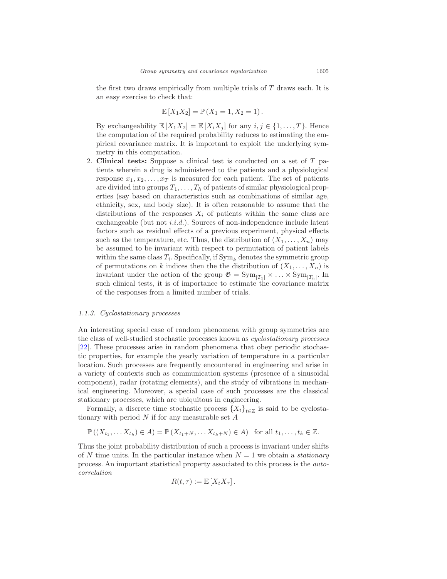the first two draws empirically from multiple trials of  $T$  draws each. It is an easy exercise to check that:

$$
\mathbb{E}[X_1 X_2] = \mathbb{P}(X_1 = 1, X_2 = 1).
$$

By exchangeability  $\mathbb{E}[X_1X_2] = \mathbb{E}[X_iX_i]$  for any  $i, j \in \{1, ..., T\}$ . Hence the computation of the required probability reduces to estimating the empirical covariance matrix. It is important to exploit the underlying symmetry in this computation.

2. Clinical tests: Suppose a clinical test is conducted on a set of T patients wherein a drug is administered to the patients and a physiological response  $x_1, x_2, \ldots, x_T$  is measured for each patient. The set of patients are divided into groups  $T_1, \ldots, T_h$  of patients of similar physiological properties (say based on characteristics such as combinations of similar age, ethnicity, sex, and body size). It is often reasonable to assume that the distributions of the responses  $X_i$  of patients within the same class are exchangeable (but not  $i.i.d.$ ). Sources of non-independence include latent factors such as residual effects of a previous experiment, physical effects such as the temperature, etc. Thus, the distribution of  $(X_1, \ldots, X_n)$  may be assumed to be invariant with respect to permutation of patient labels within the same class  $T_i$ . Specifically, if  $\text{Sym}_k$  denotes the symmetric group of permutations on k indices then the the distribution of  $(X_1, \ldots, X_n)$  is invariant under the action of the group  $\mathfrak{G} = \text{Sym}_{|T_1|} \times ... \times \text{Sym}_{|T_h|}$ . In such clinical tests, it is of importance to estimate the covariance matrix of the responses from a limited number of trials.

# <span id="page-5-0"></span>1.1.3. Cyclostationary processes

An interesting special case of random phenomena with group symmetries are the class of well-studied stochastic processes known as cyclostationary processes [\[22\]](#page-39-10). These processes arise in random phenomena that obey periodic stochastic properties, for example the yearly variation of temperature in a particular location. Such processes are frequently encountered in engineering and arise in a variety of contexts such as communication systems (presence of a sinusoidal component), radar (rotating elements), and the study of vibrations in mechanical engineering. Moreover, a special case of such processes are the classical stationary processes, which are ubiquitous in engineering.

Formally, a discrete time stochastic process  ${X_t}_{t \in \mathbb{Z}}$  is said to be cyclostationary with period  $N$  if for any measurable set  $A$ 

 $\mathbb{P}((X_{t_1},...,X_{t_k})\in A)=\mathbb{P}(X_{t_1+N},...,X_{t_k+N})\in A)$  for all  $t_1,...,t_k\in\mathbb{Z}$ .

Thus the joint probability distribution of such a process is invariant under shifts of N time units. In the particular instance when  $N = 1$  we obtain a *stationary* process. An important statistical property associated to this process is the autocorrelation

$$
R(t,\tau) := \mathbb{E}[X_t X_{\tau}].
$$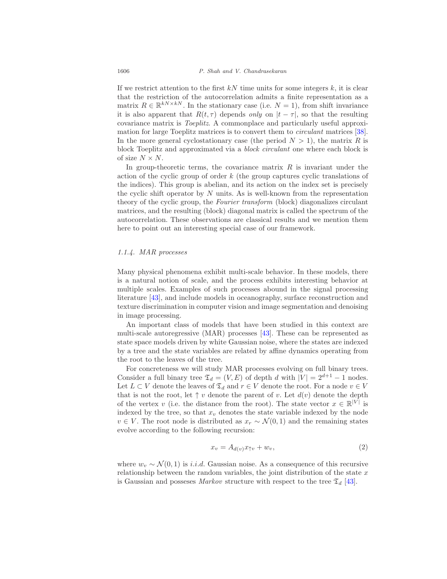If we restrict attention to the first  $kN$  time units for some integers  $k$ , it is clear that the restriction of the autocorrelation admits a finite representation as a matrix  $R \in \mathbb{R}^{kN \times kN}$ . In the stationary case (i.e.  $N = 1$ ), from shift invariance it is also apparent that  $R(t, \tau)$  depends only on  $|t - \tau|$ , so that the resulting covariance matrix is Toeplitz. A commonplace and particularly useful approximation for large Toeplitz matrices is to convert them to circulant matrices [\[38\]](#page-40-12). In the more general cyclostationary case (the period  $N > 1$ ), the matrix R is block Toeplitz and approximated via a block circulant one where each block is of size  $N \times N$ .

In group-theoretic terms, the covariance matrix  $R$  is invariant under the action of the cyclic group of order  $k$  (the group captures cyclic translations of the indices). This group is abelian, and its action on the index set is precisely the cyclic shift operator by  $N$  units. As is well-known from the representation theory of the cyclic group, the Fourier transform (block) diagonalizes circulant matrices, and the resulting (block) diagonal matrix is called the spectrum of the autocorrelation. These observations are classical results and we mention them here to point out an interesting special case of our framework.

## <span id="page-6-0"></span>1.1.4. MAR processes

Many physical phenomena exhibit multi-scale behavior. In these models, there is a natural notion of scale, and the process exhibits interesting behavior at multiple scales. Examples of such processes abound in the signal processing literature [\[43](#page-40-13)], and include models in oceanography, surface reconstruction and texture discrimination in computer vision and image segmentation and denoising in image processing.

An important class of models that have been studied in this context are multi-scale autoregressive (MAR) processes [\[43](#page-40-13)]. These can be represented as state space models driven by white Gaussian noise, where the states are indexed by a tree and the state variables are related by affine dynamics operating from the root to the leaves of the tree.

For concreteness we will study MAR processes evolving on full binary trees. Consider a full binary tree  $\mathfrak{T}_d = (V, E)$  of depth d with  $|V| = 2^{d+1} - 1$  nodes. Let  $L \subset V$  denote the leaves of  $\mathfrak{T}_d$  and  $r \in V$  denote the root. For a node  $v \in V$ that is not the root, let  $\uparrow v$  denote the parent of v. Let  $d(v)$  denote the depth of the vertex v (i.e. the distance from the root). The state vector  $x \in \mathbb{R}^{|V|}$  is indexed by the tree, so that  $x_v$  denotes the state variable indexed by the node  $v \in V$ . The root node is distributed as  $x_r \sim \mathcal{N}(0, 1)$  and the remaining states evolve according to the following recursion:

<span id="page-6-1"></span>
$$
x_v = A_{d(v)} x_{\uparrow v} + w_v,\tag{2}
$$

where  $w_n \sim \mathcal{N}(0, 1)$  is *i.i.d.* Gaussian noise. As a consequence of this recursive relationship between the random variables, the joint distribution of the state  $x$ is Gaussian and posseses Markov structure with respect to the tree  $\mathfrak{T}_d$  [\[43\]](#page-40-13).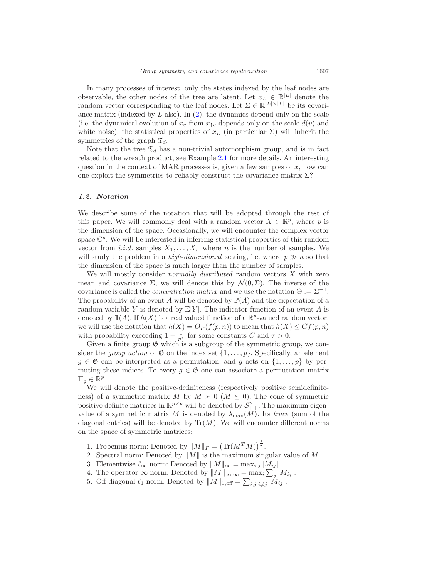In many processes of interest, only the states indexed by the leaf nodes are observable, the other nodes of the tree are latent. Let  $x_L \in \mathbb{R}^{|L|}$  denote the random vector corresponding to the leaf nodes. Let  $\Sigma \in \mathbb{R}^{|L| \times |L|}$  be its covariance matrix (indexed by  $L$  also). In  $(2)$ , the dynamics depend only on the scale (i.e. the dynamical evolution of  $x_v$  from  $x_{\uparrow v}$  depends only on the scale  $d(v)$  and white noise), the statistical properties of  $x_L$  (in particular  $\Sigma$ ) will inherit the symmetries of the graph  $\mathfrak{T}_d$ .

Note that the tree  $\mathfrak{T}_d$  has a non-trivial automorphism group, and is in fact related to the wreath product, see Example [2.1](#page-9-0) for more details. An interesting question in the context of MAR processes is, given a few samples of  $x$ , how can one exploit the symmetries to reliably construct the covariance matrix  $\Sigma$ ?

## <span id="page-7-0"></span>1.2. Notation

We describe some of the notation that will be adopted through the rest of this paper. We will commonly deal with a random vector  $X \in \mathbb{R}^p$ , where p is the dimension of the space. Occasionally, we will encounter the complex vector space  $\mathbb{C}^p$ . We will be interested in inferring statistical properties of this random vector from *i.i.d.* samples  $X_1, \ldots, X_n$  where *n* is the number of samples. We will study the problem in a *high-dimensional* setting, i.e. where  $p \gg n$  so that the dimension of the space is much larger than the number of samples.

We will mostly consider *normally distributed* random vectors  $X$  with zero mean and covariance  $\Sigma$ , we will denote this by  $\mathcal{N}(0, \Sigma)$ . The inverse of the covariance is called the *concentration matrix* and we use the notation  $\Theta := \Sigma^{-1}$ . The probability of an event A will be denoted by  $\mathbb{P}(A)$  and the expectation of a random variable Y is denoted by  $\mathbb{E}[Y]$ . The indicator function of an event A is denoted by  $\mathbb{1}(A)$ . If  $h(X)$  is a real valued function of a  $\mathbb{R}^p$ -valued random vector, we will use the notation that  $h(X) = O_P(f(p, n))$  to mean that  $h(X) \leq Cf(p, n)$ with probability exceeding  $1 - \frac{1}{p^{\tau}}$  for some constants C and  $\tau > 0$ .

Given a finite group  $\mathfrak G$  which is a subgroup of the symmetric group, we consider the group action of  $\mathfrak{G}$  on the index set  $\{1,\ldots,p\}$ . Specifically, an element  $g \in \mathfrak{G}$  can be interpreted as a permutation, and g acts on  $\{1, \ldots, p\}$  by permuting these indices. To every  $g \in \mathfrak{G}$  one can associate a permutation matrix  $\Pi_g \in \mathbb{R}^p$ .

We will denote the positive-definiteness (respectively positive semidefiniteness) of a symmetric matrix M by  $M \succ 0$  ( $M \succeq 0$ ). The cone of symmetric positive definite matrices in  $\mathbb{R}^{p \times p}$  will be denoted by  $\mathcal{S}_{++}^p$ . The maximum eigenvalue of a symmetric matrix M is denoted by  $\lambda_{\max}(M)$ . Its trace (sum of the diagonal entries) will be denoted by  $\text{Tr}(M)$ . We will encounter different norms on the space of symmetric matrices:

- 1. Frobenius norm: Denoted by  $||M||_F = (\text{Tr}(M^T M))^{\frac{1}{2}}$ .
- 2. Spectral norm: Denoted by  $||M||$  is the maximum singular value of M.
- 3. Elementwise  $\ell_{\infty}$  norm: Denoted by  $||M||_{\infty} = \max_{i,j} |M_{ij}|$ .
- 4. The operator  $\infty$  norm: Denoted by  $||M||_{\infty,\infty} = \max_i \sum_j |M_{ij}|$ .
- 5. Off-diagonal  $\ell_1$  norm: Denoted by  $||M||_{1,\text{off}} = \sum_{i,j,i\neq j} |\dot{M}_{ij}|$ .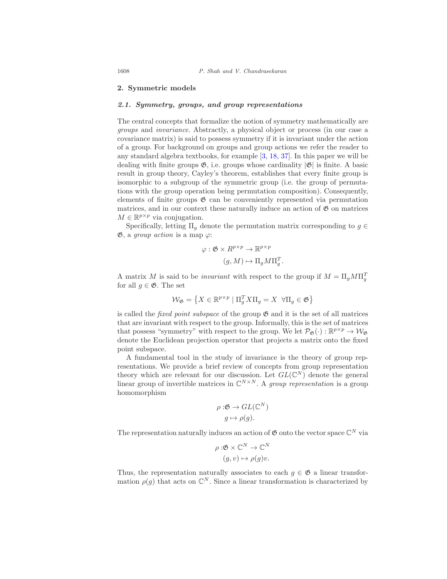## <span id="page-8-1"></span>2. Symmetric models

# 2.1. Symmetry, groups, and group representations

The central concepts that formalize the notion of symmetry mathematically are groups and invariance. Abstractly, a physical object or process (in our case a covariance matrix) is said to possess symmetry if it is invariant under the action of a group. For background on groups and group actions we refer the reader to any standard algebra textbooks, for example [\[3,](#page-38-10) [18](#page-39-11), [37\]](#page-40-14). In this paper we will be dealing with finite groups  $\mathfrak{G}$ , i.e. groups whose cardinality  $|\mathfrak{G}|$  is finite. A basic result in group theory, Cayley's theorem, establishes that every finite group is isomorphic to a subgroup of the symmetric group (i.e. the group of permutations with the group operation being permutation composition). Consequently, elements of finite groups  $\mathfrak{G}$  can be conveniently represented via permutation matrices, and in our context these naturally induce an action of  $\mathfrak{G}$  on matrices  $M \in \mathbb{R}^{p \times p}$  via conjugation.

Specifically, letting  $\Pi_q$  denote the permutation matrix corresponding to  $q \in$  $\mathfrak{G}$ , a group action is a map  $\varphi$ :

$$
\varphi: \mathfrak{G} \times R^{p \times p} \to \mathbb{R}^{p \times p}
$$

$$
(g, M) \mapsto \Pi_g M \Pi_g^T
$$

.

A matrix M is said to be *invariant* with respect to the group if  $M = \Pi_g M \Pi_g^T$ for all  $q \in \mathfrak{G}$ . The set

$$
\mathcal{W}_{\mathfrak{G}} = \left\{ X \in \mathbb{R}^{p \times p} \mid \Pi_g^T X \Pi_g = X \ \forall \Pi_g \in \mathfrak{G} \right\}
$$

is called the *fixed point subspace* of the group  $\mathfrak{G}$  and it is the set of all matrices that are invariant with respect to the group. Informally, this is the set of matrices that possess "symmetry" with respect to the group. We let  $\mathcal{P}_{\mathfrak{G}}(\cdot) : \mathbb{R}^{p \times p} \to \mathcal{W}_{\mathfrak{G}}$ denote the Euclidean projection operator that projects a matrix onto the fixed point subspace.

A fundamental tool in the study of invariance is the theory of group representations. We provide a brief review of concepts from group representation theory which are relevant for our discussion. Let  $GL(\mathbb{C}^N)$  denote the general linear group of invertible matrices in  $\mathbb{C}^{N \times N}$ . A group representation is a group homomorphism

$$
\rho : \mathfrak{G} \to GL(\mathbb{C}^N)
$$

$$
g \mapsto \rho(g).
$$

The representation naturally induces an action of  $\mathfrak G$  onto the vector space  $\mathbb C^N$  via

$$
\rho : \mathfrak{G} \times \mathbb{C}^N \to \mathbb{C}^N
$$

$$
(g, v) \mapsto \rho(g)v.
$$

Thus, the representation naturally associates to each  $q \in \mathfrak{G}$  a linear transformation  $\rho(g)$  that acts on  $\mathbb{C}^N$ . Since a linear transformation is characterized by

<span id="page-8-0"></span>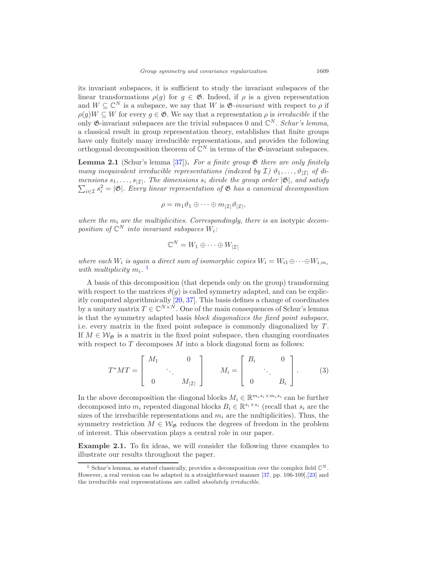its invariant subspaces, it is sufficient to study the invariant subspaces of the linear transformations  $\rho(g)$  for  $g \in \mathfrak{G}$ . Indeed, if  $\rho$  is a given representation and  $W \subseteq \mathbb{C}^N$  is a subspace, we say that W is  $\mathfrak{G}\text{-}invariant$  with respect to  $\rho$  if  $\rho(q)W \subseteq W$  for every  $q \in \mathfrak{G}$ . We say that a representation  $\rho$  is *irreducible* if the only  $\mathfrak{G}$ -invariant subspaces are the trivial subspaces 0 and  $\mathbb{C}^N$ . Schur's lemma, a classical result in group representation theory, establishes that finite groups have only finitely many irreducible representations, and provides the following orthogonal decomposition theorem of  $\mathbb{C}^N$  in terms of the  $\mathfrak{G}$ -invariant subspaces.

<span id="page-9-3"></span>**Lemma 2.1** (Schur's lemma [\[37\]](#page-40-14)). For a finite group  $\mathfrak{G}$  there are only finitely many inequivalent irreducible representations (indexed by  $\mathcal{I}$ )  $\vartheta_1, \ldots, \vartheta_{|\mathcal{I}|}$  of dimensions  $s_1, \ldots, s_{|\mathcal{I}|}$ . The dimensions  $s_i$  divide the group order  $|\mathfrak{G}|$ , and satisfy  $\sum_{i\in\mathcal{I}} s_i^2 = |\mathfrak{G}|$ . Every linear representation of  $\mathfrak G$  has a canonical decomposition

$$
\rho = m_1 \vartheta_1 \oplus \cdots \oplus m_{|\mathcal{I}|} \vartheta_{|\mathcal{I}|},
$$

where the  $m_i$  are the multiplicities. Correspondingly, there is an isotypic decomposition of  $\mathbb{C}^N$  into invariant subspaces  $W_i$ :

<span id="page-9-2"></span>
$$
\mathbb{C}^N = W_1 \oplus \cdots \oplus W_{|\mathcal{I}|}
$$

where each  $W_i$  is again a direct sum of isomorphic copies  $W_i = W_{i1} \oplus \cdots \oplus W_{i,m_i}$ with multiplicity  $m_i$ .<sup>[1](#page-9-1)</sup>

A basis of this decomposition (that depends only on the group) transforming with respect to the matrices  $\vartheta(q)$  is called symmetry adapted, and can be explicitly computed algorithmically [\[20,](#page-39-4) [37\]](#page-40-14). This basis defines a change of coordinates by a unitary matrix  $T \in \mathbb{C}^{N \times N}$ . One of the main consequences of Schur's lemma is that the symmetry adapted basis block diagonalizes the fixed point subspace, i.e. every matrix in the fixed point subspace is commonly diagonalized by  $T$ . If  $M \in \mathcal{W}_{\mathfrak{G}}$  is a matrix in the fixed point subspace, then changing coordinates with respect to  $T$  decomposes  $M$  into a block diagonal form as follows:

$$
T^*MT = \begin{bmatrix} M_1 & 0 \\ & \ddots & \\ 0 & M_{|\mathcal{I}|} \end{bmatrix} \qquad M_i = \begin{bmatrix} B_i & 0 \\ & \ddots & \\ 0 & B_i \end{bmatrix} . \tag{3}
$$

In the above decomposition the diagonal blocks  $M_i \in \mathbb{R}^{m_i s_i \times m_i s_i}$  can be further decomposed into  $m_i$  repeated diagonal blocks  $B_i \in \mathbb{R}^{s_i \times s_i}$  (recall that  $s_i$  are the sizes of the irreducible representations and  $m_i$  are the multiplicities). Thus, the symmetry restriction  $M \in \mathcal{W}_{\mathfrak{G}}$  reduces the degrees of freedom in the problem of interest. This observation plays a central role in our paper.

<span id="page-9-0"></span>Example 2.1. To fix ideas, we will consider the following three examples to illustrate our results throughout the paper.

<span id="page-9-1"></span><sup>&</sup>lt;sup>1</sup> Schur's lemma, as stated classically, provides a decomposition over the complex field  $\mathbb{C}^N$ . However, a real version can be adapted in a straightforward manner [\[37](#page-40-14), pp. 106-109],[\[23](#page-39-8)] and the irreducible real representations are called *absolutely irreducible*.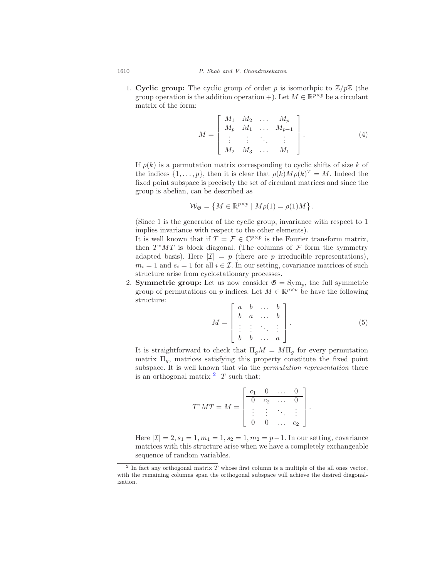1. Cyclic group: The cyclic group of order p is isomorhpic to  $\mathbb{Z}/p\mathbb{Z}$  (the group operation is the addition operation +). Let  $M \in \mathbb{R}^{p \times p}$  be a circulant matrix of the form:

<span id="page-10-2"></span>
$$
M = \begin{bmatrix} M_1 & M_2 & \dots & M_p \\ M_p & M_1 & \dots & M_{p-1} \\ \vdots & \vdots & \ddots & \vdots \\ M_2 & M_3 & \dots & M_1 \end{bmatrix} .
$$
 (4)

If  $\rho(k)$  is a permutation matrix corresponding to cyclic shifts of size k of the indices  $\{1, \ldots, p\}$ , then it is clear that  $\rho(k)M\rho(k)^T = M$ . Indeed the fixed point subspace is precisely the set of circulant matrices and since the group is abelian, can be described as

$$
\mathcal{W}_{\mathfrak{G}} = \left\{ M \in \mathbb{R}^{p \times p} \mid M \rho(1) = \rho(1) M \right\}.
$$

(Since 1 is the generator of the cyclic group, invariance with respect to 1 implies invariance with respect to the other elements).

It is well known that if  $T = \mathcal{F} \in \mathbb{C}^{p \times p}$  is the Fourier transform matrix, then  $T^*MT$  is block diagonal. (The columns of  $\mathcal F$  form the symmetry adapted basis). Here  $|\mathcal{I}| = p$  (there are p irreducible representations),  $m_i = 1$  and  $s_i = 1$  for all  $i \in \mathcal{I}$ . In our setting, covariance matrices of such structure arise from cyclostationary processes.

2. **Symmetric group:** Let us now consider  $\mathfrak{G} = \text{Sym}_p$ , the full symmetric group of permutations on p indices. Let  $M \in \mathbb{R}^{p \times p}$  be have the following structure:

<span id="page-10-1"></span>
$$
M = \begin{bmatrix} a & b & \dots & b \\ b & a & \dots & b \\ \vdots & \vdots & \ddots & \vdots \\ b & b & \dots & a \end{bmatrix} . \tag{5}
$$

.

It is straightforward to check that  $\Pi_q M = M \Pi_q$  for every permutation matrix  $\Pi_q$ , matrices satisfying this property constitute the fixed point subspace. It is well known that via the *permutation representation* there is an orthogonal matrix  $\frac{2}{T}$  $\frac{2}{T}$  $\frac{2}{T}$  such that:

$$
T^*MT = M = \begin{bmatrix} \begin{array}{c|c} c_1 & 0 & \dots & 0 \\ \hline 0 & c_2 & \dots & 0 \\ \vdots & \vdots & \ddots & \vdots \\ 0 & 0 & \dots & c_2 \end{array} \end{bmatrix}
$$

Here  $|\mathcal{I}| = 2, s_1 = 1, m_1 = 1, s_2 = 1, m_2 = p-1$ . In our setting, covariance matrices with this structure arise when we have a completely exchangeable sequence of random variables.

<span id="page-10-0"></span><sup>&</sup>lt;sup>2</sup> In fact any orthogonal matrix  $T$  whose first column is a multiple of the all ones vector, with the remaining columns span the orthogonal subspace will achieve the desired diagonalization.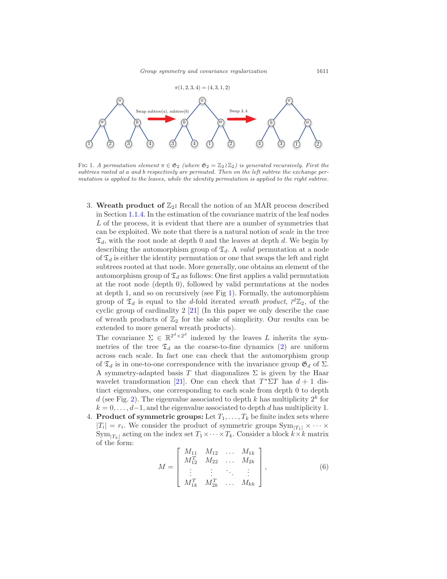

<span id="page-11-0"></span>FIG 1*. A permutation element*  $\pi \in \mathfrak{G}_2$  *(where*  $\mathfrak{G}_2 = \mathbb{Z}_2 \wr \mathbb{Z}_2$ *) is generated recursively. First the subtrees rooted at* a *and* b *respectively are permuted. Then on the left subtree the exchange permutation is applied to the leaves, while the identity permutation is applied to the right subtree.*

3. Wreath product of  $\mathbb{Z}_2$ : Recall the notion of an MAR process described in Section [1.1.4.](#page-6-0) In the estimation of the covariance matrix of the leaf nodes L of the process, it is evident that there are a number of symmetries that can be exploited. We note that there is a natural notion of scale in the tree  $\mathfrak{T}_d$ , with the root node at depth 0 and the leaves at depth d. We begin by describing the automorphism group of  $\mathfrak{T}_d$ . A valid permutation at a node of  $\mathfrak{T}_d$  is either the identity permutation or one that swaps the left and right subtrees rooted at that node. More generally, one obtains an element of the automorphism group of  $\mathfrak{T}_d$  as follows: One first applies a valid permutation at the root node (depth 0), followed by valid permutations at the nodes at depth 1, and so on recursively (see Fig [1\)](#page-11-0). Formally, the automorphism group of  $\mathfrak{T}_d$  is equal to the d-fold iterated wreath product,  $\chi^d \mathbb{Z}_2$ , of the cyclic group of cardinality 2 [\[21](#page-39-12)] (In this paper we only describe the case of wreath products of  $\mathbb{Z}_2$  for the sake of simplicity. Our results can be extended to more general wreath products).

The covariance  $\Sigma \in \mathbb{R}^{2^d \times 2^d}$  indexed by the leaves L inherits the symmetries of the tree  $\mathfrak{T}_d$  as the coarse-to-fine dynamics [\(2\)](#page-6-1) are uniform across each scale. In fact one can check that the automorphism group of  $\mathfrak{T}_d$  is in one-to-one correspondence with the invariance group  $\mathfrak{G}_d$  of  $\Sigma$ . A symmetry-adapted basis T that diagonalizes  $\Sigma$  is given by the Haar wavelet transformation [\[21\]](#page-39-12). One can check that  $T^*\Sigma T$  has  $d+1$  distinct eigenvalues, one corresponding to each scale from depth 0 to depth d (see Fig. [2\)](#page-14-0). The eigenvalue associated to depth k has multiplicity  $2^k$  for  $k = 0, \ldots, d-1$ , and the eigenvalue associated to depth d has multiplicity 1.

4. Product of symmetric groups: Let  $T_1, \ldots, T_k$  be finite index sets where  $|T_i| = r_i$ . We consider the product of symmetric groups  $\text{Sym}_{|T_1|} \times \cdots \times$  $\text{Sym}_{|T_k|}$  acting on the index set  $T_1 \times \cdots \times T_k$ . Consider a block  $k \times k$  matrix of the form:

<span id="page-11-1"></span>
$$
M = \begin{bmatrix} M_{11} & M_{12} & \dots & M_{1k} \\ M_{12}^T & M_{22} & \dots & M_{2k} \\ \vdots & \vdots & \ddots & \vdots \\ M_{1k}^T & M_{2k}^T & \dots & M_{kk} \end{bmatrix},
$$
 (6)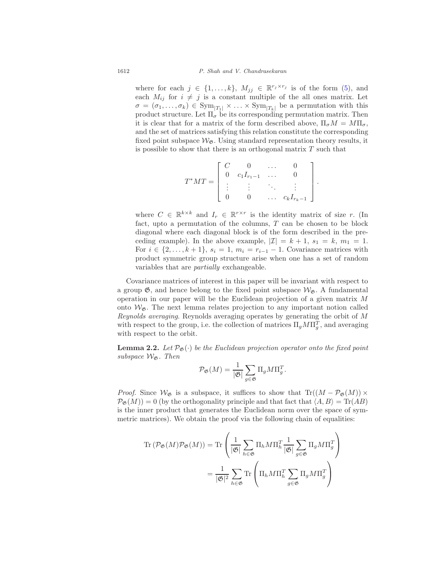where for each  $j \in \{1, ..., k\}$ ,  $M_{jj} \in \mathbb{R}^{r_j \times r_j}$  is of the form [\(5\)](#page-10-1), and each  $M_{ij}$  for  $i \neq j$  is a constant multiple of the all ones matrix. Let  $\sigma = (\sigma_1, \ldots, \sigma_k) \in \text{Sym}_{|T_1|} \times \ldots \times \text{Sym}_{|T_k|}$  be a permutation with this product structure. Let  $\Pi_{\sigma}$  be its corresponding permutation matrix. Then it is clear that for a matrix of the form described above,  $\Pi_{\sigma}M = M\Pi_{\sigma}$ , and the set of matrices satisfying this relation constitute the corresponding fixed point subspace  $\mathcal{W}_{\mathfrak{G}}$ . Using standard representation theory results, it is possible to show that there is an orthogonal matrix  $T$  such that

$$
T^*MT = \begin{bmatrix} C & 0 & \dots & 0 \\ 0 & c_1I_{r_1-1} & \dots & 0 \\ \vdots & \vdots & \ddots & \vdots \\ 0 & 0 & \dots & c_kI_{r_k-1} \end{bmatrix}.
$$

where  $C \in \mathbb{R}^{k \times k}$  and  $I_r \in \mathbb{R}^{r \times r}$  is the identity matrix of size r. (In fact, upto a permutation of the columns,  $T$  can be chosen to be block diagonal where each diagonal block is of the form described in the preceding example). In the above example,  $|\mathcal{I}| = k + 1$ ,  $s_1 = k$ ,  $m_1 = 1$ . For  $i \in \{2, ..., k+1\}, s_i = 1, m_i = r_{i-1} - 1$ . Covariance matrices with product symmetric group structure arise when one has a set of random variables that are partially exchangeable.

Covariance matrices of interest in this paper will be invariant with respect to a group  $\mathfrak{G}$ , and hence belong to the fixed point subspace  $\mathcal{W}_{\mathfrak{G}}$ . A fundamental operation in our paper will be the Euclidean projection of a given matrix M onto  $\mathcal{W}_{\mathfrak{G}}$ . The next lemma relates projection to any important notion called Reynolds averaging. Reynolds averaging operates by generating the orbit of M with respect to the group, i.e. the collection of matrices  $\Pi_g M \Pi_g^T$ , and averaging with respect to the orbit.

<span id="page-12-0"></span>**Lemma 2.2.** Let  $\mathcal{P}_{\mathfrak{G}}(\cdot)$  be the Euclidean projection operator onto the fixed point subspace  $W_{\mathfrak{G}}$ . Then

$$
\mathcal{P}_{\mathfrak{G}}(M) = \frac{1}{|\mathfrak{G}|} \sum_{g \in \mathfrak{G}} \Pi_g M \Pi_g^T.
$$

*Proof.* Since  $W_{\mathfrak{G}}$  is a subspace, it suffices to show that  $\text{Tr}((M - \mathcal{P}_{\mathfrak{G}}(M)) \times$  $\mathcal{P}_{\mathfrak{G}}(M) = 0$  (by the orthogonality principle and that fact that  $\langle A, B \rangle = \text{Tr}(AB)$ is the inner product that generates the Euclidean norm over the space of symmetric matrices). We obtain the proof via the following chain of equalities:

$$
\operatorname{Tr}\left(\mathcal{P}_{\mathfrak{G}}(M)\mathcal{P}_{\mathfrak{G}}(M)\right) = \operatorname{Tr}\left(\frac{1}{|\mathfrak{G}|}\sum_{h\in\mathfrak{G}}\Pi_{h}M\Pi_{h}^{T}\frac{1}{|\mathfrak{G}|}\sum_{g\in\mathfrak{G}}\Pi_{g}M\Pi_{g}^{T}\right)
$$

$$
=\frac{1}{|\mathfrak{G}|^{2}}\sum_{h\in\mathfrak{G}}\operatorname{Tr}\left(\Pi_{h}M\Pi_{h}^{T}\sum_{g\in\mathfrak{G}}\Pi_{g}M\Pi_{g}^{T}\right)
$$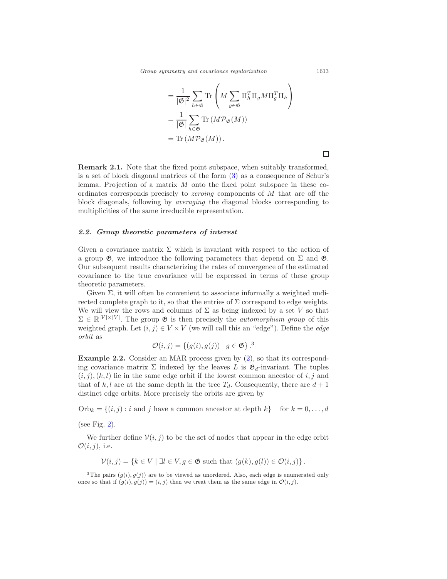$$
= \frac{1}{|\mathfrak{G}|^2} \sum_{h \in \mathfrak{G}} \text{Tr}\left(M \sum_{g \in \mathfrak{G}} \Pi_h^T \Pi_g M \Pi_g^T \Pi_h\right)
$$
  
= 
$$
\frac{1}{|\mathfrak{G}|} \sum_{h \in \mathfrak{G}} \text{Tr}\left(M \mathcal{P}_{\mathfrak{G}}(M)\right)
$$
  
= 
$$
\text{Tr}\left(M \mathcal{P}_{\mathfrak{G}}(M)\right).
$$

<span id="page-13-2"></span>Remark 2.1. Note that the fixed point subspace, when suitably transformed, is a set of block diagonal matrices of the form [\(3\)](#page-9-2) as a consequence of Schur's lemma. Projection of a matrix M onto the fixed point subspace in these coordinates corresponds precisely to zeroing components of M that are off the block diagonals, following by averaging the diagonal blocks corresponding to multiplicities of the same irreducible representation.

## <span id="page-13-0"></span>2.2. Group theoretic parameters of interest

Given a covariance matrix  $\Sigma$  which is invariant with respect to the action of a group  $\mathfrak{G}$ , we introduce the following parameters that depend on  $\Sigma$  and  $\mathfrak{G}$ . Our subsequent results characterizing the rates of convergence of the estimated covariance to the true covariance will be expressed in terms of these group theoretic parameters.

Given  $\Sigma$ , it will often be convenient to associate informally a weighted undirected complete graph to it, so that the entries of  $\Sigma$  correspond to edge weights. We will view the rows and columns of  $\Sigma$  as being indexed by a set V so that  $\Sigma \in \mathbb{R}^{|V| \times |V|}$ . The group  $\mathfrak{G}$  is then precisely the *automorphism group* of this weighted graph. Let  $(i, j) \in V \times V$  (we will call this an "edge"). Define the *edge* orbit as

$$
\mathcal{O}(i,j) = \{(g(i), g(j)) \mid g \in \mathfrak{G}\}.\,3
$$

Example 2.2. Consider an MAR process given by [\(2\)](#page-6-1), so that its corresponding covariance matrix  $\Sigma$  indexed by the leaves L is  $\mathfrak{G}_d$ -invariant. The tuples  $(i, j), (k, l)$  lie in the same edge orbit if the lowest common ancestor of  $i, j$  and that of k, l are at the same depth in the tree  $T_d$ . Consequently, there are  $d+1$ distinct edge orbits. More precisely the orbits are given by

 $Orb_k = \{(i, j) : i \text{ and } j \text{ have a common ancestor at depth } k\}$  for  $k = 0, \ldots, d$ 

(see Fig. [2\)](#page-14-0).

We further define  $V(i, j)$  to be the set of nodes that appear in the edge orbit  $\mathcal{O}(i, j)$ , i.e.

$$
\mathcal{V}(i,j) = \{k \in V \mid \exists l \in V, g \in \mathfrak{G} \text{ such that } (g(k),g(l)) \in \mathcal{O}(i,j)\}.
$$

 $\Box$ 

<span id="page-13-1"></span><sup>&</sup>lt;sup>3</sup>The pairs  $(g(i), g(j))$  are to be viewed as unordered. Also, each edge is enumerated only once so that if  $(g(i), g(j)) = (i, j)$  then we treat them as the same edge in  $\mathcal{O}(i, j)$ .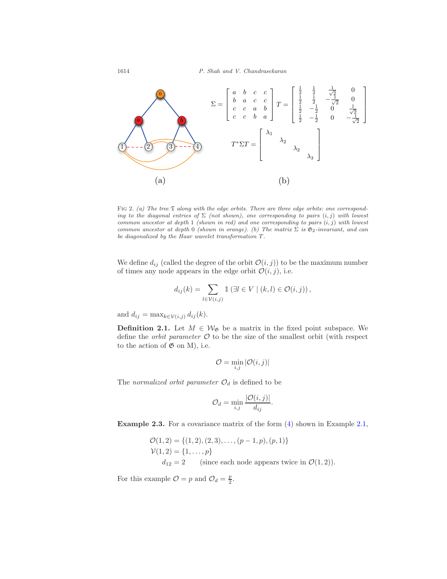

<span id="page-14-0"></span>FIG 2. (a) The tree  $\Im$  along with the edge orbits. There are three edge orbits: one correspond*ing to the diagonal entries of*  $\Sigma$  *(not shown), one corresponding to pairs*  $(i, j)$  *with lowest common ancestor at depth* 1 *(shown in red) and one corresponding to pairs* (i, j) *with lowest common ancestor at depth* 0 *(shown in orange). (b)* The matrix  $\Sigma$  is  $\mathfrak{G}_2$ -invariant, and can *be diagonalized by the Haar wavelet transformation* T*.*

We define  $d_{ij}$  (called the degree of the orbit  $\mathcal{O}(i, j)$ ) to be the maximum number of times any node appears in the edge orbit  $\mathcal{O}(i, j)$ , i.e.

$$
d_{ij}(k) = \sum_{l \in \mathcal{V}(i,j)} \mathbb{1} \left( \exists l \in V \mid (k,l) \in \mathcal{O}(i,j) \right),
$$

and  $d_{ij} = \max_{k \in \mathcal{V}(i,j)} d_{ij}(k)$ .

**Definition 2.1.** Let  $M \in \mathcal{W}_{\mathfrak{G}}$  be a matrix in the fixed point subspace. We define the *orbit parameter*  $\mathcal O$  to be the size of the smallest orbit (with respect to the action of  $\mathfrak{G}$  on M), i.e.

$$
\mathcal{O} = \min_{i,j} |\mathcal{O}(i,j)|
$$

The normalized orbit parameter  $\mathcal{O}_d$  is defined to be

$$
O_d = \min_{i,j} \frac{|O(i,j)|}{d_{ij}}.
$$

Example 2.3. For a covariance matrix of the form [\(4\)](#page-10-2) shown in Example [2.1,](#page-9-0)

$$
\mathcal{O}(1,2) = \{(1,2), (2,3), \dots, (p-1,p), (p,1)\}\
$$
  
 
$$
\mathcal{V}(1,2) = \{1, \dots, p\}
$$
  
 
$$
d_{12} = 2
$$
 (since each node appears twice in  $\mathcal{O}(1,2)$ ).

For this example  $\mathcal{O} = p$  and  $\mathcal{O}_d = \frac{p}{2}$  $\frac{p}{2}$ .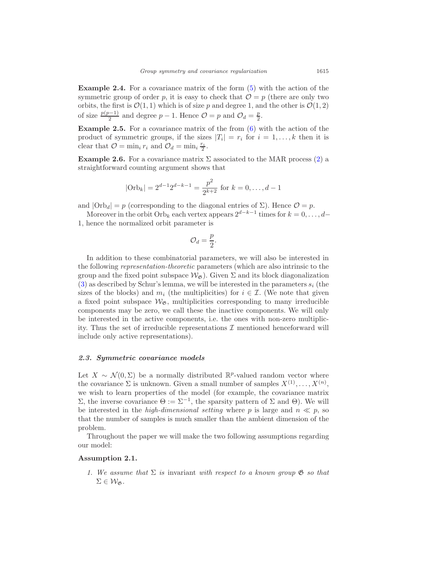Example 2.4. For a covariance matrix of the form [\(5\)](#page-10-1) with the action of the symmetric group of order p, it is easy to check that  $\mathcal{O} = p$  (there are only two orbits, the first is  $\mathcal{O}(1,1)$  which is of size p and degree 1, and the other is  $\mathcal{O}(1,2)$ of size  $\frac{p(p-1)}{2}$  and degree  $p-1$ . Hence  $\mathcal{O}=p$  and  $\mathcal{O}_d=\frac{p}{2}$  $\frac{p}{2}$ .

**Example 2.5.** For a covariance matrix of the from  $(6)$  with the action of the product of symmetric groups, if the sizes  $|T_i| = r_i$  for  $i = 1, ..., k$  then it is clear that  $\mathcal{O} = \min_i r_i$  and  $\mathcal{O}_d = \min_i \frac{r_i}{2}$ .

**Example 2.6.** For a covariance matrix  $\Sigma$  associated to the MAR process [\(2\)](#page-6-1) a straightforward counting argument shows that

$$
|\text{Orb}_k| = 2^{d-1} 2^{d-k-1} = \frac{p^2}{2^{k+2}}
$$
 for  $k = 0, ..., d-1$ 

and  $|Orb_d| = p$  (corresponding to the diagonal entries of  $\Sigma$ ). Hence  $\mathcal{O} = p$ .

Moreover in the orbit  $Orb_k$  each vertex appears  $2^{d-k-1}$  times for  $k = 0, \ldots, d-1$ 1, hence the normalized orbit parameter is

$$
\mathcal{O}_d = \frac{p}{2}.
$$

In addition to these combinatorial parameters, we will also be interested in the following representation-theoretic parameters (which are also intrinsic to the group and the fixed point subspace  $\mathcal{W}_{\mathfrak{G}}$ ). Given  $\Sigma$  and its block diagonalization  $(3)$  as described by Schur's lemma, we will be interested in the parameters  $s_i$  (the sizes of the blocks) and  $m_i$  (the multiplicities) for  $i \in \mathcal{I}$ . (We note that given a fixed point subspace  $\mathcal{W}_{\mathfrak{G}}$ , multiplicities corresponding to many irreducible components may be zero, we call these the inactive components. We will only be interested in the active components, i.e. the ones with non-zero multiplicity. Thus the set of irreducible representations  $\mathcal I$  mentioned henceforward will include only active representations).

## <span id="page-15-0"></span>2.3. Symmetric covariance models

Let  $X \sim \mathcal{N}(0, \Sigma)$  be a normally distributed  $\mathbb{R}^p$ -valued random vector where the covariance  $\Sigma$  is unknown. Given a small number of samples  $X^{(1)}, \ldots, X^{(n)}$ , we wish to learn properties of the model (for example, the covariance matrix  $Σ$ , the inverse covariance  $Θ := Σ<sup>-1</sup>$ , the sparsity pattern of  $Σ$  and  $Θ$ ). We will be interested in the high-dimensional setting where p is large and  $n \ll p$ , so that the number of samples is much smaller than the ambient dimension of the problem.

Throughout the paper we will make the two following assumptions regarding our model:

## <span id="page-15-1"></span>Assumption 2.1.

1. We assume that  $\Sigma$  is invariant with respect to a known group  $\mathfrak{G}$  so that  $\Sigma \in \mathcal{W}_{\mathfrak{G}}$ .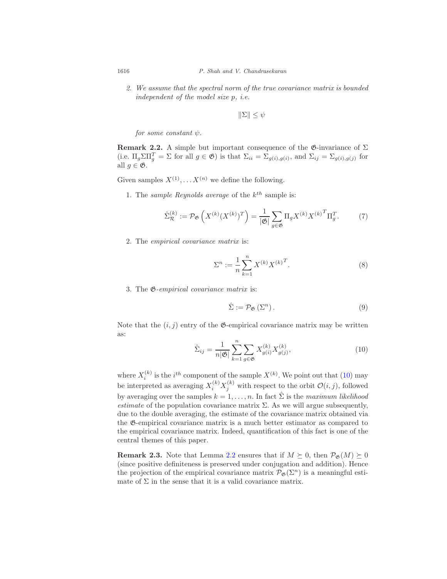2. We assume that the spectral norm of the true covariance matrix is bounded independent of the model size p, i.e.

$$
\|\Sigma\| \leq \psi
$$

for some constant  $\psi$ .

**Remark 2.2.** A simple but important consequence of the  $\mathfrak{G}$ -invariance of  $\Sigma$ (i.e.  $\Pi_g \Sigma \Pi_g^T = \Sigma$  for all  $g \in \mathfrak{G}$ ) is that  $\Sigma_{ii} = \Sigma_{g(i),g(i)},$  and  $\Sigma_{ij} = \Sigma_{g(i),g(j)}$  for all  $q \in \mathfrak{G}$ .

Given samples  $X^{(1)}, \ldots X^{(n)}$  we define the following.

1. The sample Reynolds average of the  $k^{th}$  sample is:

$$
\hat{\Sigma}_{\mathcal{R}}^{(k)} := \mathcal{P}_{\mathfrak{G}}\left(X^{(k)}(X^{(k)})^T\right) = \frac{1}{|\mathfrak{G}|} \sum_{g \in \mathfrak{G}} \Pi_g X^{(k)} X^{(k)^T} \Pi_g^T. \tag{7}
$$

2. The empirical covariance matrix is:

$$
\Sigma^n := \frac{1}{n} \sum_{k=1}^n X^{(k)} X^{(k)^T}.
$$
\n(8)

3. The G-empirical covariance matrix is:

$$
\hat{\Sigma} := \mathcal{P}_{\mathfrak{G}}\left(\Sigma^n\right). \tag{9}
$$

Note that the  $(i, j)$  entry of the  $\mathfrak{G}$ -empirical covariance matrix may be written as:

<span id="page-16-0"></span>
$$
\hat{\Sigma}_{ij} = \frac{1}{n|\mathfrak{G}|} \sum_{k=1}^{n} \sum_{g \in \mathfrak{G}} X_{g(i)}^{(k)} X_{g(j)}^{(k)},
$$
\n(10)

where  $X_i^{(k)}$  is the  $i^{th}$  component of the sample  $X^{(k)}$ . We point out that [\(10\)](#page-16-0) may be interpreted as averaging  $X_i^{(k)} X_j^{(k)}$  with respect to the orbit  $\mathcal{O}(i, j)$ , followed by averaging over the samples  $k = 1, \ldots, n$ . In fact  $\hat{\Sigma}$  is the *maximum likelihood* estimate of the population covariance matrix  $\Sigma$ . As we will argue subsequently, due to the double averaging, the estimate of the covariance matrix obtained via the G-empirical covariance matrix is a much better estimator as compared to the empirical covariance matrix. Indeed, quantification of this fact is one of the central themes of this paper.

**Remark 2.3.** Note that Lemma [2.2](#page-12-0) ensures that if  $M \succeq 0$ , then  $\mathcal{P}_{\mathfrak{G}}(M) \succeq 0$ (since positive definiteness is preserved under conjugation and addition). Hence the projection of the empirical covariance matrix  $\mathcal{P}_{\mathfrak{G}}(\Sigma^n)$  is a meaningful estimate of  $\Sigma$  in the sense that it is a valid covariance matrix.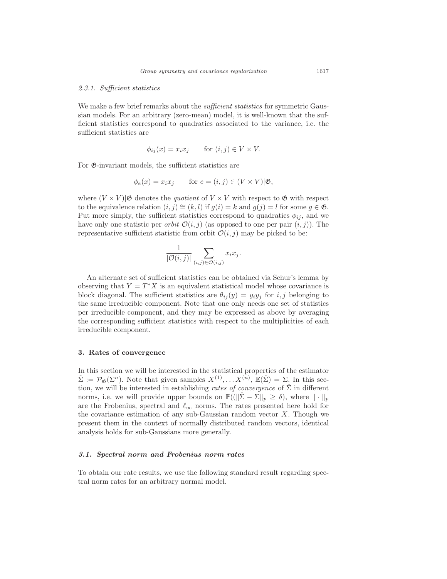#### <span id="page-17-0"></span>2.3.1. Sufficient statistics

We make a few brief remarks about the *sufficient statistics* for symmetric Gaussian models. For an arbitrary (zero-mean) model, it is well-known that the sufficient statistics correspond to quadratics associated to the variance, i.e. the sufficient statistics are

$$
\phi_{ij}(x) = x_i x_j \quad \text{for } (i,j) \in V \times V.
$$

For G-invariant models, the sufficient statistics are

$$
\phi_e(x) = x_i x_j \quad \text{for } e = (i, j) \in (V \times V) | \mathfrak{G},
$$

where  $(V \times V)|\mathfrak{G}$  denotes the quotient of  $V \times V$  with respect to  $\mathfrak{G}$  with respect to the equivalence relation  $(i, j) \cong (k, l)$  if  $g(i) = k$  and  $g(j) = l$  for some  $g \in \mathfrak{G}$ . Put more simply, the sufficient statistics correspond to quadratics  $\phi_{ij}$ , and we have only one statistic per *orbit*  $\mathcal{O}(i, j)$  (as opposed to one per pair  $(i, j)$ ). The representative sufficient statistic from orbit  $\mathcal{O}(i, j)$  may be picked to be:

$$
\frac{1}{|\mathcal{O}(i,j)|} \sum_{(i,j) \in \mathcal{O}(i,j)} x_i x_j.
$$

An alternate set of sufficient statistics can be obtained via Schur's lemma by observing that  $Y = T^*X$  is an equivalent statistical model whose covariance is block diagonal. The sufficient statistics are  $\theta_{ij}(y) = y_i y_j$  for  $i, j$  belonging to the same irreducible component. Note that one only needs one set of statistics per irreducible component, and they may be expressed as above by averaging the corresponding sufficient statistics with respect to the multiplicities of each irreducible component.

#### <span id="page-17-1"></span>3. Rates of convergence

In this section we will be interested in the statistical properties of the estimator  $\hat{\Sigma} := \mathcal{P}_{\mathfrak{G}}(\Sigma^n)$ . Note that given samples  $X^{(1)}, \dots X^{(n)}$ ,  $\mathbb{E}(\hat{\Sigma}) = \Sigma$ . In this section, we will be interested in establishing rates of convergence of  $\hat{\Sigma}$  in different norms, i.e. we will provide upper bounds on  $\mathbb{P}((\|\hat{\Sigma} - \Sigma\|_p \ge \delta))$ , where  $\|\cdot\|_p$ are the Frobenius, spectral and  $\ell_{\infty}$  norms. The rates presented here hold for the covariance estimation of any sub-Gaussian random vector  $X$ . Though we present them in the context of normally distributed random vectors, identical analysis holds for sub-Gaussians more generally.

#### <span id="page-17-2"></span>3.1. Spectral norm and Frobenius norm rates

To obtain our rate results, we use the following standard result regarding spectral norm rates for an arbitrary normal model.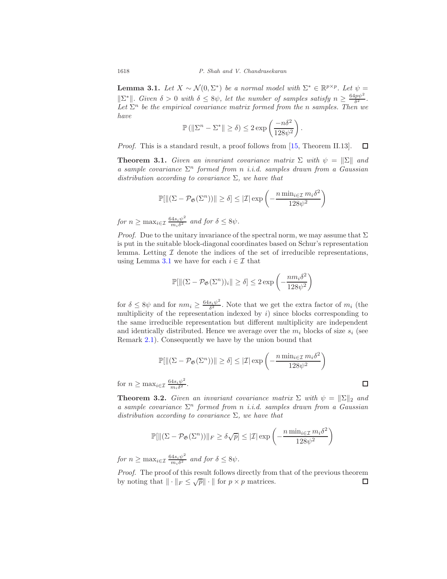<span id="page-18-0"></span>**Lemma 3.1.** Let  $X \sim \mathcal{N}(0, \Sigma^*)$  be a normal model with  $\Sigma^* \in \mathbb{R}^{p \times p}$ . Let  $\psi =$  $\|\Sigma^*\|$ . Given  $\delta > 0$  with  $\delta \leq 8\psi$ , let the number of samples satisfy  $n \geq \frac{64p\psi^2}{\delta^2}$ . Let  $\Sigma^n$  be the empirical covariance matrix formed from the n samples. Then we have

$$
\mathbb{P}\left(\left\|\Sigma^n - \Sigma^*\right\| \ge \delta\right) \le 2\exp\left(\frac{-n\delta^2}{128\psi^2}\right)
$$

.

□

Proof. This is a standard result, a proof follows from [\[15](#page-39-13), Theorem II.13].  $\Box$ 

<span id="page-18-1"></span>**Theorem 3.1.** Given an invariant covariance matrix  $\Sigma$  with  $\psi = \|\Sigma\|$  and a sample covariance  $\Sigma<sup>n</sup>$  formed from n i.i.d. samples drawn from a Gaussian distribution according to covariance  $\Sigma$ , we have that

$$
\mathbb{P}[\left\|(\Sigma - \mathcal{P}_{\mathfrak{G}}(\Sigma^n))\right\| \ge \delta] \le |\mathcal{I}| \exp\left(-\frac{n \min_{i \in \mathcal{I}} m_i \delta^2}{128\psi^2}\right)
$$

for  $n \geq \max_{i \in \mathcal{I}} \frac{64 s_i \psi^2}{m_i \delta^2}$  $\frac{d^4s_i\psi^-}{m_i\delta^2}$  and for  $\delta \leq 8\psi$ .

*Proof.* Due to the unitary invariance of the spectral norm, we may assume that  $\Sigma$ is put in the suitable block-diagonal coordinates based on Schur's representation lemma. Letting  $\mathcal I$  denote the indices of the set of irreducible representations, using Lemma [3.1](#page-18-0) we have for each  $i \in \mathcal{I}$  that

$$
\mathbb{P}[\left\|(\Sigma - \mathcal{P}_{\mathfrak{G}}(\Sigma^n))_i\right\| \ge \delta] \le 2 \exp\left(-\frac{n m_i \delta^2}{128\psi^2}\right)
$$

for  $\delta \le 8\psi$  and for  $nm_i \ge \frac{64s_i\psi^2}{\delta^2}$  $\frac{s_i \psi^2}{\delta^2}$ . Note that we get the extra factor of  $m_i$  (the multiplicity of the representation indexed by  $i$ ) since blocks corresponding to the same irreducible representation but different multiplicity are independent and identically distributed. Hence we average over the  $m_i$  blocks of size  $s_i$  (see Remark [2.1\)](#page-13-2). Consequently we have by the union bound that

$$
\mathbb{P}[\left\|(\Sigma - \mathcal{P}_{\mathfrak{G}}(\Sigma^n))\right\| \ge \delta] \le |\mathcal{I}| \exp\left(-\frac{n \min_{i \in \mathcal{I}} m_i \delta^2}{128\psi^2}\right)
$$

for  $n \geq \max_{i \in \mathcal{I}} \frac{64 s_i \psi^2}{m_i \delta^2}$  $\frac{\partial^4 s_i \psi}{\partial m_i \delta^2}$ .

**Theorem 3.2.** Given an invariant covariance matrix  $\Sigma$  with  $\psi = \|\Sigma\|_2$  and a sample covariance  $\Sigma<sup>n</sup>$  formed from n i.i.d. samples drawn from a Gaussian distribution according to covariance  $\Sigma$ , we have that

$$
\mathbb{P}[\|(\Sigma - \mathcal{P}_{\mathfrak{G}}(\Sigma^n))\|_F \ge \delta\sqrt{p}] \le |\mathcal{I}| \exp\left(-\frac{n\min_{i\in\mathcal{I}} m_i \delta^2}{128\psi^2}\right)
$$

for  $n \geq \max_{i \in \mathcal{I}} \frac{64s_i\psi^2}{m_i\delta^2}$  $\frac{d^4s_i\psi^-}{m_i\delta^2}$  and for  $\delta \leq 8\psi$ .

Proof. The proof of this result follows directly from that of the previous theorem by noting that  $\|\cdot\|_F \leq \sqrt{p}\|\cdot\|$  for  $p \times p$  matrices.  $\Box$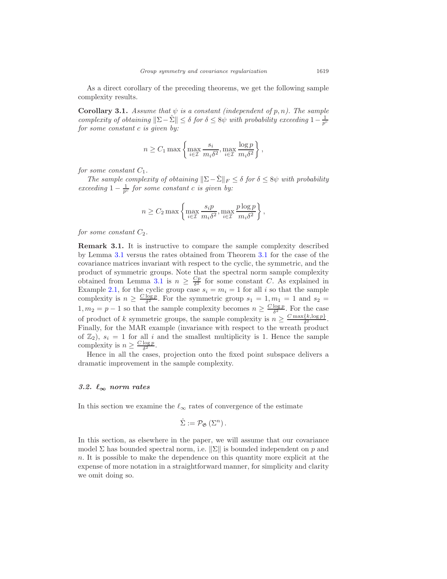As a direct corollary of the preceding theorems, we get the following sample complexity results.

**Corollary 3.1.** Assume that  $\psi$  is a constant (independent of p, n). The sample complexity of obtaining  $\|\Sigma-\hat{\Sigma}\| \leq \delta$  for  $\delta \leq 8\psi$  with probability exceeding  $1-\frac{1}{p^c}$ for some constant c is given by:

$$
n \ge C_1 \max \left\{ \max_{i \in \mathcal{I}} \frac{s_i}{m_i \delta^2}, \max_{i \in \mathcal{I}} \frac{\log p}{m_i \delta^2} \right\},\,
$$

for some constant  $C_1$ .

The sample complexity of obtaining  $\|\Sigma-\hat{\Sigma}\|_F \leq \delta$  for  $\delta \leq 8\psi$  with probability exceeding  $1 - \frac{1}{p^c}$  for some constant c is given by:

$$
n \ge C_2 \max \left\{ \max_{i \in \mathcal{I}} \frac{s_i p}{m_i \delta^2}, \max_{i \in \mathcal{I}} \frac{p \log p}{m_i \delta^2} \right\},\,
$$

for some constant  $C_2$ .

Remark 3.1. It is instructive to compare the sample complexity described by Lemma [3.1](#page-18-0) versus the rates obtained from Theorem [3.1](#page-18-1) for the case of the covariance matrices invariant with respect to the cyclic, the symmetric, and the product of symmetric groups. Note that the spectral norm sample complexity obtained from Lemma [3.1](#page-18-0) is  $n \geq \frac{Cp}{\delta^2}$  for some constant C. As explained in Example [2.1,](#page-9-0) for the cyclic group case  $s_i = m_i = 1$  for all i so that the sample complexity is  $n \geq \frac{C \log p}{\delta^2}$ . For the symmetric group  $s_1 = 1, m_1 = 1$  and  $s_2 =$  $1, m_2 = p - 1$  so that the sample complexity becomes  $n \geq \frac{C \log p}{\delta^2}$ . For the case of product of k symmetric groups, the sample complexity is  $n \geq \frac{C \max\{k, \log p\}}{\delta^2}$  $\frac{\{\kappa,\log p\}}{\delta^2}$ . Finally, for the MAR example (invariance with respect to the wreath product of  $\mathbb{Z}_2$ ,  $s_i = 1$  for all i and the smallest multiplicity is 1. Hence the sample complexity is  $n \geq \frac{C \log p}{\delta^2}$ .

Hence in all the cases, projection onto the fixed point subspace delivers a dramatic improvement in the sample complexity.

# <span id="page-19-0"></span>3.2.  $\ell_{\infty}$  norm rates

In this section we examine the  $\ell_{\infty}$  rates of convergence of the estimate

$$
\hat{\Sigma} := \mathcal{P}_{\mathfrak{G}}\left(\Sigma^{n}\right).
$$

In this section, as elsewhere in the paper, we will assume that our covariance model  $\Sigma$  has bounded spectral norm, i.e.  $\|\Sigma\|$  is bounded independent on p and n. It is possible to make the dependence on this quantity more explicit at the expense of more notation in a straightforward manner, for simplicity and clarity we omit doing so.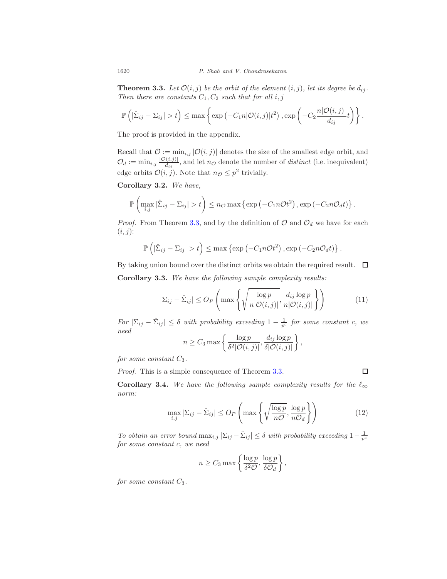<span id="page-20-0"></span>**Theorem 3.3.** Let  $\mathcal{O}(i, j)$  be the orbit of the element  $(i, j)$ , let its degree be  $d_{ij}$ . Then there are constants  $C_1, C_2$  such that for all  $i, j$ 

$$
\mathbb{P}\left(|\hat{\Sigma}_{ij} - \Sigma_{ij}| > t\right) \leq \max\left\{\exp\left(-C_1 n|\mathcal{O}(i,j)|t^2\right), \exp\left(-C_2 \frac{n|\mathcal{O}(i,j)|}{d_{ij}}t\right)\right\}.
$$

The proof is provided in the appendix.

Recall that  $\mathcal{O} := \min_{i,j} |\mathcal{O}(i,j)|$  denotes the size of the smallest edge orbit, and  $\mathcal{O}_d := \min_{i,j} \frac{|\mathcal{O}(i,j)|}{d_{ij}}$  $\frac{\partial^{(i,j)}}{\partial_{ij}}$ , and let  $n_{\mathcal{O}}$  denote the number of *distinct* (i.e. inequivalent) edge orbits  $\mathcal{O}(i, j)$ . Note that  $n_{\mathcal{O}} \leq p^2$  trivially.

<span id="page-20-1"></span>Corollary 3.2. We have,

$$
\mathbb{P}\left(\max_{i,j}|\hat{\Sigma}_{ij}-\Sigma_{ij}|>t\right)\leq n_{\mathcal{O}}\max\left\{\exp\left(-C_{1}n\mathcal{O}t^{2}\right),\exp\left(-C_{2}n\mathcal{O}_{d}t\right)\right\}.
$$

*Proof.* From Theorem [3.3,](#page-20-0) and by the definition of  $\mathcal{O}$  and  $\mathcal{O}_d$  we have for each  $(i, j)$ :

$$
\mathbb{P}\left(|\hat{\Sigma}_{ij} - \Sigma_{ij}| > t\right) \leq \max\left\{\exp\left(-C_1n\mathcal{O}t^2\right), \exp\left(-C_2n\mathcal{O}_d t\right)\right\}.
$$

<span id="page-20-3"></span>By taking union bound over the distinct orbits we obtain the required result.  $\Box$ Corollary 3.3. We have the following sample complexity results:

$$
|\Sigma_{ij} - \hat{\Sigma}_{ij}| \leq O_P\left(\max\left\{\sqrt{\frac{\log p}{n|\mathcal{O}(i,j)|}}, \frac{d_{ij}\log p}{n|\mathcal{O}(i,j)|}\right\}\right) \tag{11}
$$

For  $|\Sigma_{ij} - \hat{\Sigma}_{ij}| \leq \delta$  with probability exceeding  $1 - \frac{1}{p^c}$  for some constant c, we need

$$
n \geq C_3 \max \left\{ \frac{\log p}{\delta^2 |\mathcal{O}(i,j)|}, \frac{d_{ij} \log p}{\delta |\mathcal{O}(i,j)|} \right\},\,
$$

for some constant  $C_3$ .

Proof. This is a simple consequence of Theorem [3.3.](#page-20-0)

 $\Box$ 

<span id="page-20-2"></span>**Corollary 3.4.** We have the following sample complexity results for the  $\ell_{\infty}$ norm:

$$
\max_{i,j} |\Sigma_{ij} - \hat{\Sigma}_{ij}| \leq O_P\left(\max\left\{\sqrt{\frac{\log p}{n\mathcal{O}}}, \frac{\log p}{n\mathcal{O}_d}\right\}\right)
$$
(12)

To obtain an error bound  $\max_{i,j} |\Sigma_{ij} - \hat{\Sigma}_{ij}| \leq \delta$  with probability exceeding  $1 - \frac{1}{p^c}$ for some constant c, we need

$$
n \ge C_3 \max \left\{ \frac{\log p}{\delta^2 \mathcal{O}}, \frac{\log p}{\delta \mathcal{O}_d} \right\},\
$$

for some constant  $C_3$ .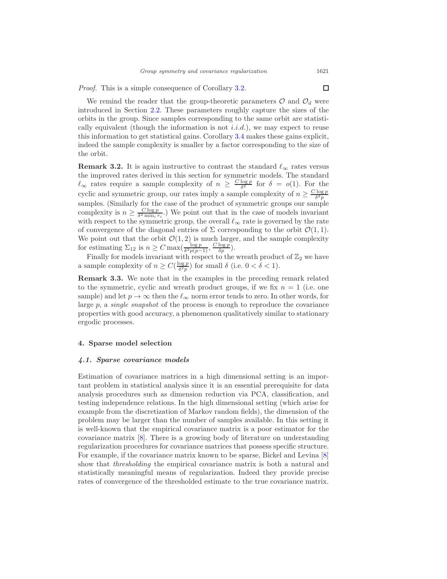Proof. This is a simple consequence of Corollary [3.2.](#page-20-1)

We remind the reader that the group-theoretic parameters  $\mathcal{O}$  and  $\mathcal{O}_d$  were introduced in Section [2.2.](#page-13-0) These parameters roughly capture the sizes of the orbits in the group. Since samples corresponding to the same orbit are statistically equivalent (though the information is not *i.i.d.*), we may expect to reuse this information to get statistical gains. Corollary [3.4](#page-20-2) makes these gains explicit, indeed the sample complexity is smaller by a factor corresponding to the size of the orbit.

**Remark 3.2.** It is again instructive to contrast the standard  $\ell_{\infty}$  rates versus the improved rates derived in this section for symmetric models. The standard  $\ell_{\infty}$  rates require a sample complexity of  $n \geq \frac{C \log p}{\delta^2}$  for  $\delta = o(1)$ . For the cyclic and symmetric group, our rates imply a sample complexity of  $n \geq \frac{C \log p}{\delta^2 p}$ samples. (Similarly for the case of the product of symmetric groups our sample complexity is  $n \geq \frac{C \log p}{\delta^2 \min_i r_i}$ .) We point out that in the case of models invariant with respect to the symmetric group, the overall  $\ell_{\infty}$  rate is governed by the rate of convergence of the diagonal entries of  $\Sigma$  corresponding to the orbit  $\mathcal{O}(1,1)$ . We point out that the orbit  $\mathcal{O}(1, 2)$  is much larger, and the sample complexity for estimating  $\Sigma_{12}$  is  $n \geq C \max(\frac{\log p}{\delta^2 p(p-1)}, \frac{C \log p}{\delta p})$ .

Finally for models invariant with respect to the wreath product of  $\mathbb{Z}_2$  we have a sample complexity of  $n \ge C(\frac{\log p}{\delta^2 p})$  for small  $\delta$  (i.e.  $0 < \delta < 1$ ).

Remark 3.3. We note that in the examples in the preceding remark related to the symmetric, cyclic and wreath product groups, if we fix  $n = 1$  (i.e. one sample) and let  $p \to \infty$  then the  $\ell_{\infty}$  norm error tends to zero. In other words, for large  $p$ , a *single snapshot* of the process is enough to reproduce the covariance properties with good accuracy, a phenomenon qualitatively similar to stationary ergodic processes.

## <span id="page-21-1"></span><span id="page-21-0"></span>4. Sparse model selection

#### 4.1. Sparse covariance models

Estimation of covariance matrices in a high dimensional setting is an important problem in statistical analysis since it is an essential prerequisite for data analysis procedures such as dimension reduction via PCA, classification, and testing independence relations. In the high dimensional setting (which arise for example from the discretization of Markov random fields), the dimension of the problem may be larger than the number of samples available. In this setting it is well-known that the empirical covariance matrix is a poor estimator for the covariance matrix [\[8](#page-38-1)]. There is a growing body of literature on understanding regularization procedures for covariance matrices that possess specific structure. For example, if the covariance matrix known to be sparse, Bickel and Levina [\[8\]](#page-38-1) show that thresholding the empirical covariance matrix is both a natural and statistically meaningful means of regularization. Indeed they provide precise rates of convergence of the thresholded estimate to the true covariance matrix.

 $\Box$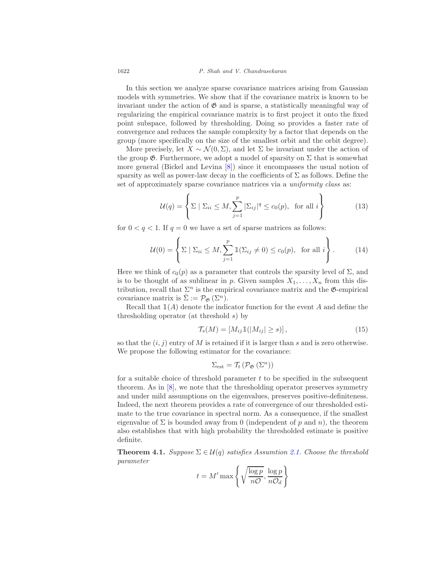In this section we analyze sparse covariance matrices arising from Gaussian models with symmetries. We show that if the covariance matrix is known to be invariant under the action of  $\mathfrak G$  and is sparse, a statistically meaningful way of regularizing the empirical covariance matrix is to first project it onto the fixed point subspace, followed by thresholding. Doing so provides a faster rate of convergence and reduces the sample complexity by a factor that depends on the group (more specifically on the size of the smallest orbit and the orbit degree).

More precisely, let  $X \sim \mathcal{N}(0, \Sigma)$ , and let  $\Sigma$  be invariant under the action of the group  $\mathfrak{G}$ . Furthermore, we adopt a model of sparsity on  $\Sigma$  that is somewhat more general (Bickel and Levina [\[8\]](#page-38-1)) since it encompasses the usual notion of sparsity as well as power-law decay in the coefficients of  $\Sigma$  as follows. Define the set of approximately sparse covariance matrices via a *uniformity class* as:

$$
\mathcal{U}(q) = \left\{ \Sigma \mid \Sigma_{ii} \le M, \sum_{j=1}^{p} |\Sigma_{ij}|^q \le c_0(p), \text{ for all } i \right\}
$$
 (13)

for  $0 < q < 1$ . If  $q = 0$  we have a set of sparse matrices as follows:

$$
\mathcal{U}(0) = \left\{ \Sigma \mid \Sigma_{ii} \le M, \sum_{j=1}^p \mathbb{1}(\Sigma_{ij} \ne 0) \le c_0(p), \text{ for all } i \right\}. \tag{14}
$$

Here we think of  $c_0(p)$  as a parameter that controls the sparsity level of  $\Sigma$ , and is to be thought of as sublinear in p. Given samples  $X_1, \ldots, X_n$  from this distribution, recall that  $\Sigma^n$  is the empirical covariance matrix and the  $\mathfrak{G}$ -empirical covariance matrix is  $\hat{\Sigma} := \mathcal{P}_{\mathfrak{G}}(\Sigma^n)$ .

Recall that  $\mathbb{I}(A)$  denote the indicator function for the event A and define the thresholding operator (at threshold s) by

$$
\mathcal{T}_s(M) = [M_{ij} \mathbb{1}(|M_{ij}| \ge s)],\tag{15}
$$

so that the  $(i, j)$  entry of M is retained if it is larger than s and is zero otherwise. We propose the following estimator for the covariance:

$$
\Sigma_{\mathrm{est}}=\mathcal{T}_{t}\left(\mathcal{P}_{\mathfrak{G}}\left(\Sigma^{n}\right)\right)
$$

for a suitable choice of threshold parameter  $t$  to be specified in the subsequent theorem. As in [\[8](#page-38-1)], we note that the thresholding operator preserves symmetry and under mild assumptions on the eigenvalues, preserves positive-definiteness. Indeed, the next theorem provides a rate of convergence of our thresholded estimate to the true covariance in spectral norm. As a consequence, if the smallest eigenvalue of  $\Sigma$  is bounded away from 0 (independent of p and n), the theorem also establishes that with high probability the thresholded estimate is positive definite.

<span id="page-22-0"></span>**Theorem 4.1.** Suppose  $\Sigma \in \mathcal{U}(q)$  satisfies Assumtion [2.1.](#page-15-1) Choose the threshold parameter

$$
t = M' \max\left\{ \sqrt{\frac{\log p}{n\mathcal{O}}}, \frac{\log p}{n\mathcal{O}_d} \right\}
$$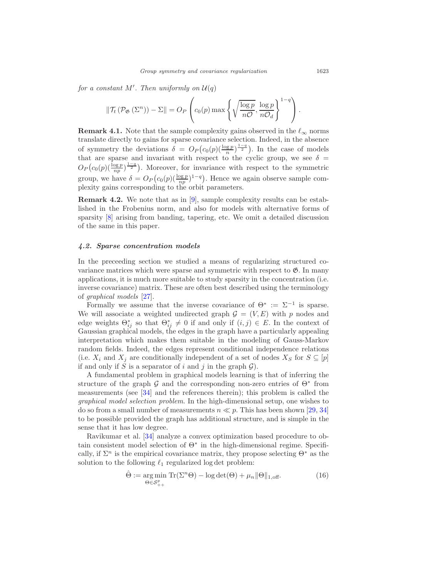for a constant  $M'$ . Then uniformly on  $\mathcal{U}(q)$ 

$$
\|\mathcal{T}_t(\mathcal{P}_{\mathfrak{G}}(\Sigma^n)) - \Sigma\| = O_P\left(c_0(p)\max\left\{\sqrt{\frac{\log p}{n\mathcal{O}}}, \frac{\log p}{n\mathcal{O}_d}\right\}^{1-q}\right).
$$

**Remark 4.1.** Note that the sample complexity gains observed in the  $\ell_{\infty}$  norms translate directly to gains for sparse covariance selection. Indeed, in the absence of symmetry the deviations  $\delta = O_P\big(c_0(p)(\frac{\log p}{n})^{\frac{1-q}{2}}\big)$ . In the case of models that are sparse and invariant with respect to the cyclic group, we see  $\delta =$  $O_P\left(c_0(p)(\frac{\log p}{np})^{\frac{1-q}{2}}\right)$ . Moreover, for invariance with respect to the symmetric group, we have  $\delta = O_P(c_0(p)(\frac{\log p}{np})^{1-q})$ . Hence we again observe sample complexity gains corresponding to the orbit parameters.

Remark 4.2. We note that as in [\[9](#page-38-2)], sample complexity results can be established in the Frobenius norm, and also for models with alternative forms of sparsity [\[8](#page-38-1)] arising from banding, tapering, etc. We omit a detailed discussion of the same in this paper.

#### <span id="page-23-0"></span>4.2. Sparse concentration models

In the preceeding section we studied a means of regularizing structured covariance matrices which were sparse and symmetric with respect to  $\mathfrak{G}$ . In many applications, it is much more suitable to study sparsity in the concentration (i.e. inverse covariance) matrix. These are often best described using the terminology of graphical models [\[27](#page-39-1)].

Formally we assume that the inverse covariance of  $\Theta^* := \Sigma^{-1}$  is sparse. We will associate a weighted undirected graph  $\mathcal{G} = (V, E)$  with p nodes and edge weights  $\Theta_{ij}^*$  so that  $\Theta_{ij}^* \neq 0$  if and only if  $(i, j) \in E$ . In the context of Gaussian graphical models, the edges in the graph have a particularly appealing interpretation which makes them suitable in the modeling of Gauss-Markov random fields. Indeed, the edges represent conditional independence relations (i.e.  $X_i$  and  $X_j$  are conditionally independent of a set of nodes  $X_S$  for  $S \subseteq [p]$ if and only if S is a separator of i and j in the graph  $\mathcal{G}$ ).

A fundamental problem in graphical models learning is that of inferring the structure of the graph  $G$  and the corresponding non-zero entries of  $\Theta^*$  from measurements (see [\[34\]](#page-40-1) and the references therein); this problem is called the graphical model selection problem. In the high-dimensional setup, one wishes to do so from a small number of measurements  $n \ll p$ . This has been shown [\[29,](#page-40-0) [34\]](#page-40-1) to be possible provided the graph has additional structure, and is simple in the sense that it has low degree.

Ravikumar et al. [\[34\]](#page-40-1) analyze a convex optimization based procedure to obtain consistent model selection of Θ<sup>∗</sup> in the high-dimensional regime. Specifically, if  $\Sigma^n$  is the empirical covariance matrix, they propose selecting  $\Theta^*$  as the solution to the following  $\ell_1$  regularized log det problem:

<span id="page-23-1"></span>
$$
\hat{\Theta} := \underset{\Theta \in \mathcal{S}_{++}^p}{\arg \min} \operatorname{Tr}(\Sigma^n \Theta) - \log \det(\Theta) + \mu_n \|\Theta\|_{1,\text{off}}.
$$
 (16)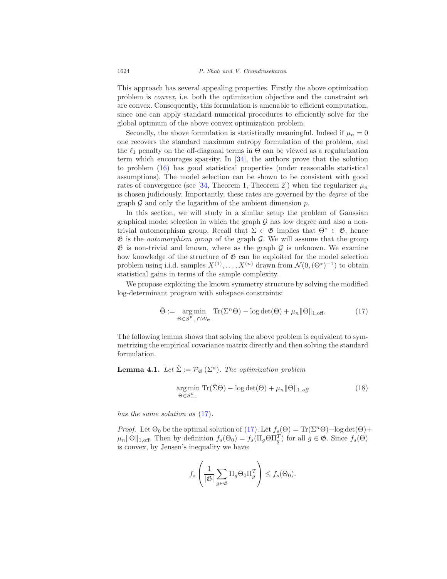This approach has several appealing properties. Firstly the above optimization problem is convex, i.e. both the optimization objective and the constraint set are convex. Consequently, this formulation is amenable to efficient computation, since one can apply standard numerical procedures to efficiently solve for the global optimum of the above convex optimization problem.

Secondly, the above formulation is statistically meaningful. Indeed if  $\mu_n = 0$ one recovers the standard maximum entropy formulation of the problem, and the  $\ell_1$  penalty on the off-diagonal terms in  $\Theta$  can be viewed as a regularization term which encourages sparsity. In [\[34\]](#page-40-1), the authors prove that the solution to problem [\(16\)](#page-23-1) has good statistical properties (under reasonable statistical assumptions). The model selection can be shown to be consistent with good rates of convergence (see [\[34](#page-40-1), Theorem 1, Theorem 2]) when the regularizer  $\mu_n$ is chosen judiciously. Importantly, these rates are governed by the degree of the graph  $G$  and only the logarithm of the ambient dimension  $p$ .

In this section, we will study in a similar setup the problem of Gaussian graphical model selection in which the graph  $G$  has low degree and also a nontrivial automorphism group. Recall that  $\Sigma \in \mathfrak{G}$  implies that  $\Theta^* \in \mathfrak{G}$ , hence  $\mathfrak{G}$  is the *automorphism group* of the graph  $\mathcal{G}$ . We will assume that the group  $\mathfrak G$  is non-trivial and known, where as the graph  $\mathcal G$  is unknown. We examine how knowledge of the structure of  $\mathfrak{G}$  can be exploited for the model selection problem using i.i.d. samples  $X^{(1)}, \ldots, X^{(n)}$  drawn from  $\mathcal{N}(0, (\Theta^*)^{-1})$  to obtain statistical gains in terms of the sample complexity.

We propose exploiting the known symmetry structure by solving the modified log-determinant program with subspace constraints:

<span id="page-24-0"></span>
$$
\hat{\Theta} := \underset{\Theta \in \mathcal{S}_{++}^p \cap \mathcal{W}_{\mathfrak{G}}}{\arg \min} \text{Tr}(\Sigma^n \Theta) - \log \det(\Theta) + \mu_n \|\Theta\|_{1,\text{off}}.
$$
 (17)

The following lemma shows that solving the above problem is equivalent to symmetrizing the empirical covariance matrix directly and then solving the standard formulation.

**Lemma 4.1.** Let  $\hat{\Sigma} := \mathcal{P}_{\mathfrak{G}}(\Sigma^n)$ . The optimization problem

<span id="page-24-1"></span>
$$
\underset{\Theta \in \mathcal{S}_{++}^p}{\arg \min} \operatorname{Tr}(\hat{\Sigma}\Theta) - \log \det(\Theta) + \mu_n \|\Theta\|_{1, \text{off}} \tag{18}
$$

has the same solution as  $(17)$ .

*Proof.* Let  $\Theta_0$  be the optimal solution of [\(17\)](#page-24-0). Let  $f_s(\Theta) = \text{Tr}(\Sigma^n \Theta) - \log \det(\Theta) +$  $\mu_n ||\Theta||_{1,\text{off}}$ . Then by definition  $f_s(\Theta_0) = f_s(\Pi_g \Theta \Pi_g^T)$  for all  $g \in \mathfrak{G}$ . Since  $f_s(\Theta)$ is convex, by Jensen's inequality we have:

$$
f_s\left(\frac{1}{|\mathfrak{G}|}\sum_{g\in\mathfrak{G}}\Pi_g\Theta_0\Pi_g^T\right)\leq f_s(\Theta_0).
$$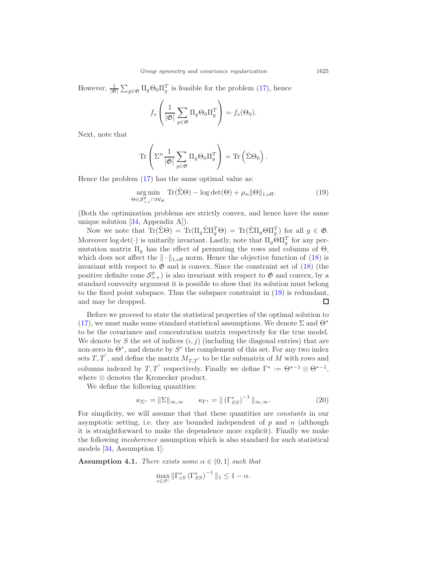However,  $\frac{1}{|\mathfrak{G}|}\sum_{g\in\mathfrak{G}}\Pi_g\Theta_0\Pi_g^T$  is feasible for the problem [\(17\)](#page-24-0), hence

$$
f_s\left(\frac{1}{|\mathfrak{G}|}\sum_{g\in\mathfrak{G}}\Pi_g\Theta_0\Pi_g^T\right)=f_s(\Theta_0).
$$

Next, note that

$$
\operatorname{Tr}\left(\Sigma^n \frac{1}{|\mathfrak{G}|} \sum_{g \in \mathfrak{G}} \Pi_g \Theta_0 \Pi_g^T\right) = \operatorname{Tr}\left(\hat{\Sigma} \Theta_0\right).
$$

Hence the problem [\(17\)](#page-24-0) has the same optimal value as:

<span id="page-25-0"></span>
$$
\underset{\Theta \in \mathcal{S}_{++}^p \cap \mathcal{W}_{\mathfrak{G}}}{\text{arg min}} \text{Tr}(\hat{\Sigma}\Theta) - \log \det(\Theta) + \mu_n \|\Theta\|_{1,\text{off}}.
$$
\n(19)

(Both the optimization problems are strictly convex, and hence have the same unique solution [\[34,](#page-40-1) Appendix A]).

Now we note that  $\text{Tr}(\hat{\Sigma}\Theta) = \text{Tr}(\Pi_g \hat{\Sigma}\Pi_g^T\Theta) = \text{Tr}(\hat{\Sigma}\Pi_g\Theta\Pi_g^T)$  for all  $g \in \mathfrak{G}$ . Moreover  $\log \det(\cdot)$  is unitarily invariant. Lastly, note that  $\Pi_g \Theta \Pi_g^T$  for any permutation matrix  $\Pi_g$  has the effect of permuting the rows and columns of  $\Theta$ , which does not affect the  $\|\cdot\|_{1,\text{off}}$  norm. Hence the objective function of [\(18\)](#page-24-1) is invariant with respect to  $\mathfrak{G}$  and is convex. Since the constraint set of [\(18\)](#page-24-1) (the positive definite cone  $S^p_{++}$ ) is also invariant with respect to  $\mathfrak G$  and convex, by a standard convexity argument it is possible to show that its solution must belong to the fixed point subspace. Thus the subspace constraint in [\(19\)](#page-25-0) is redundant, and may be dropped. □

Before we proceed to state the statistical properties of the optimal solution to [\(17\)](#page-24-0), we must make some standard statistical assumptions. We denote  $\Sigma$  and  $\Theta^*$ to be the covariance and concentration matrix respectively for the true model. We denote by S the set of indices  $(i, j)$  (including the diagonal entries) that are non-zero in  $\Theta^*$ , and denote by  $S^c$  the complement of this set. For any two index sets  $T, T'$ , and define the matrix  $M_{T,T'}$  to be the submatrix of M with rows and columns indexed by  $T, T'$  respectively. Finally we define  $\Gamma^* := \Theta^{*-1} \otimes \Theta^{*-1}$ , where ⊗ denotes the Kronecker product.

We define the following quantities:

$$
\kappa_{\Sigma^*} = \|\Sigma\|_{\infty,\infty} \qquad \kappa_{\Gamma^*} = \|\left(\Gamma_{SS}^*\right)^{-1}\|_{\infty,\infty}.\tag{20}
$$

For simplicity, we will assume that that these quantities are *constants* in our asymptotic setting, i.e. they are bounded independent of  $p$  and  $n$  (although it is straightforward to make the dependence more explicit). Finally we make the following incoherence assumption which is also standard for such statistical models [\[34](#page-40-1), Assumption 1]:

<span id="page-25-1"></span>**Assumption 4.1.** There exists some  $\alpha \in (0,1]$  such that

$$
\max_{e \in S^c} \|\Gamma_{eS}^* \left(\Gamma_{SS}^*\right)^{-1}\|_1 \le 1 - \alpha.
$$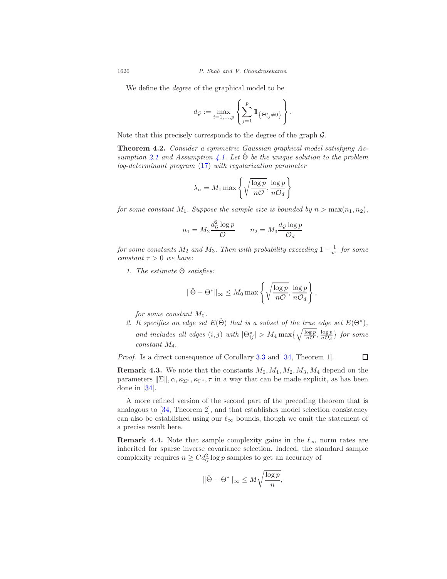We define the degree of the graphical model to be

$$
d_{\mathcal{G}} := \max_{i=1,\dots,p} \left\{ \sum_{j=1}^p \mathbb{1}_{\left\{\Theta^*_{ij} \neq 0\right\}} \right\}.
$$

Note that this precisely corresponds to the degree of the graph  $\mathcal{G}$ .

Theorem 4.2. Consider a symmetric Gaussian graphical model satisfying As-sumption [2.1](#page-15-1) and Assumption [4.1.](#page-25-1) Let  $\hat{\Theta}$  be the unique solution to the problem log-determinant program [\(17\)](#page-24-0) with regularization parameter

$$
\lambda_n = M_1 \max \left\{ \sqrt{\frac{\log p}{n\mathcal{O}}}, \frac{\log p}{n\mathcal{O}_d} \right\}
$$

for some constant  $M_1$ . Suppose the sample size is bounded by  $n > \max(n_1, n_2)$ ,

$$
n_1 = M_2 \frac{d_G^2 \log p}{\mathcal{O}} \qquad n_2 = M_3 \frac{d_G \log p}{\mathcal{O}_d}
$$

for some constants  $M_2$  and  $M_3$ . Then with probability exceeding  $1-\frac{1}{p^{\tau}}$  for some constant  $\tau > 0$  we have:

1. The estimate  $\hat{\Theta}$  satisfies:

$$
\|\hat{\Theta} - \Theta^*\|_{\infty} \le M_0 \max\left\{\sqrt{\frac{\log p}{n\mathcal{O}}}, \frac{\log p}{n\mathcal{O}_d}\right\},\
$$

for some constant  $M_0$ .

2. It specifies an edge set  $E(\hat{\Theta})$  that is a subset of the true edge set  $E(\Theta^*),$ and includes all edges  $(i, j)$  with  $|\Theta^*_{ij}| > M_4 \max\left\{\sqrt{\frac{\log p}{n\mathcal{O}}}, \frac{\log p}{n\mathcal{O}_d}\right\}$  for some constant M4.

Proof. Is a direct consequence of Corollary [3.3](#page-20-3) and [\[34](#page-40-1), Theorem 1].

 $\Box$ 

**Remark 4.3.** We note that the constants  $M_0, M_1, M_2, M_3, M_4$  depend on the parameters  $\|\Sigma\|, \alpha, \kappa_{\Sigma^*}, \kappa_{\Gamma^*}, \tau$  in a way that can be made explicit, as has been done in [\[34\]](#page-40-1).

A more refined version of the second part of the preceding theorem that is analogous to [\[34,](#page-40-1) Theorem 2], and that establishes model selection consistency can also be established using our  $\ell_{\infty}$  bounds, though we omit the statement of a precise result here.

**Remark 4.4.** Note that sample complexity gains in the  $\ell_{\infty}$  norm rates are inherited for sparse inverse covariance selection. Indeed, the standard sample complexity requires  $n \geq C d_{\mathcal{G}}^2 \log p$  samples to get an accuracy of

$$
\|\hat{\Theta} - \Theta^*\|_{\infty} \le M \sqrt{\frac{\log p}{n}},
$$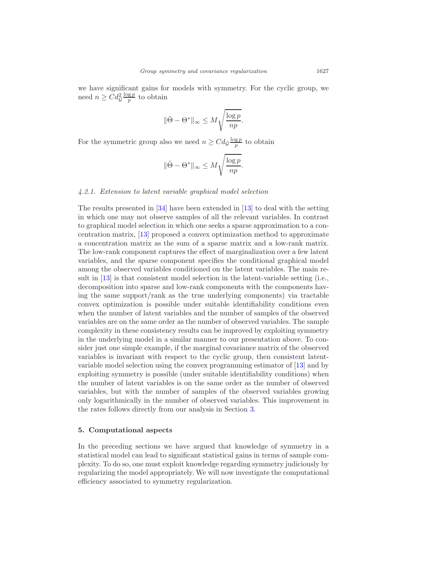we have significant gains for models with symmetry. For the cyclic group, we need  $n \geq C d_{\mathcal{G}}^2 \frac{\log p}{p}$  to obtain

$$
\|\hat{\Theta} - \Theta^*\|_{\infty} \le M \sqrt{\frac{\log p}{np}}.
$$

For the symmetric group also we need  $n \geq Cd_{\mathcal{G}}\frac{\log p}{p}$  to obtain

$$
\|\hat{\Theta} - \Theta^*\|_{\infty} \le M \sqrt{\frac{\log p}{np}}.
$$

## <span id="page-27-0"></span>4.2.1. Extension to latent variable graphical model selection

The results presented in [\[34\]](#page-40-1) have been extended in [\[13\]](#page-39-14) to deal with the setting in which one may not observe samples of all the relevant variables. In contrast to graphical model selection in which one seeks a sparse approximation to a concentration matrix, [\[13\]](#page-39-14) proposed a convex optimization method to approximate a concentration matrix as the sum of a sparse matrix and a low-rank matrix. The low-rank component captures the effect of marginalization over a few latent variables, and the sparse component specifies the conditional graphical model among the observed variables conditioned on the latent variables. The main result in [\[13\]](#page-39-14) is that consistent model selection in the latent-variable setting (i.e., decomposition into sparse and low-rank components with the components having the same support/rank as the true underlying components) via tractable convex optimization is possible under suitable identifiability conditions even when the number of latent variables and the number of samples of the observed variables are on the same order as the number of observed variables. The sample complexity in these consistency results can be improved by exploiting symmetry in the underlying model in a similar manner to our presentation above. To consider just one simple example, if the marginal covariance matrix of the observed variables is invariant with respect to the cyclic group, then consistent latentvariable model selection using the convex programming estimator of [\[13\]](#page-39-14) and by exploiting symmetry is possible (under suitable identifiability conditions) when the number of latent variables is on the same order as the number of observed variables, but with the number of samples of the observed variables growing only logarithmically in the number of observed variables. This improvement in the rates follows directly from our analysis in Section [3.](#page-17-1)

# <span id="page-27-1"></span>5. Computational aspects

In the preceding sections we have argued that knowledge of symmetry in a statistical model can lead to significant statistical gains in terms of sample complexity. To do so, one must exploit knowledge regarding symmetry judiciously by regularizing the model appropriately. We will now investigate the computational efficiency associated to symmetry regularization.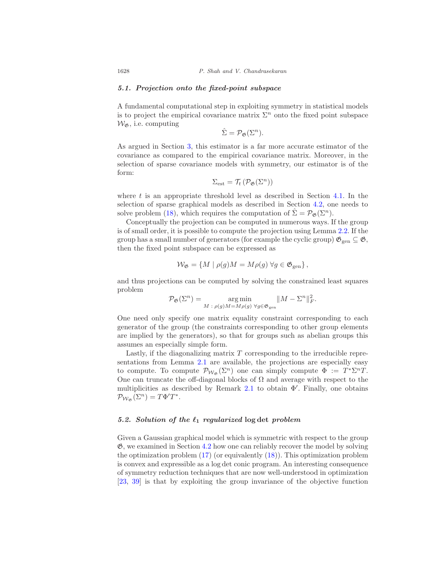## 5.1. Projection onto the fixed-point subspace

A fundamental computational step in exploiting symmetry in statistical models is to project the empirical covariance matrix  $\Sigma<sup>n</sup>$  onto the fixed point subspace  $\mathcal{W}_{\mathfrak{G}},$  i.e. computing

$$
\hat{\Sigma} = \mathcal{P}_{\mathfrak{G}}(\Sigma^n).
$$

As argued in Section [3,](#page-17-1) this estimator is a far more accurate estimator of the covariance as compared to the empirical covariance matrix. Moreover, in the selection of sparse covariance models with symmetry, our estimator is of the form:

$$
\Sigma_{\mathrm{est}}=\mathcal{T}_{t}\left(\mathcal{P}_{\mathfrak{G}}(\Sigma^{n})\right)
$$

where  $t$  is an appropriate threshold level as described in Section [4.1.](#page-21-1) In the selection of sparse graphical models as described in Section [4.2,](#page-23-0) one needs to solve problem [\(18\)](#page-24-1), which requires the computation of  $\hat{\Sigma} = \mathcal{P}_{\mathfrak{G}}(\Sigma^n)$ .

Conceptually the projection can be computed in numerous ways. If the group is of small order, it is possible to compute the projection using Lemma [2.2.](#page-12-0) If the group has a small number of generators (for example the cyclic group)  $\mathfrak{G}_{\text{gen}} \subseteq \mathfrak{G}$ , then the fixed point subspace can be expressed as

$$
\mathcal{W}_{\mathfrak{G}} = \{ M \mid \rho(g)M = M\rho(g) \; \forall g \in \mathfrak{G}_{\text{\rm{gen}}} \} \, ,
$$

and thus projections can be computed by solving the constrained least squares problem

$$
\mathcal{P}_{\mathfrak{G}}(\Sigma^n) = \underset{M \,:\, \rho(g)M = M\rho(g)}{\arg\min} \|M - \Sigma^n\|_F^2.
$$

One need only specify one matrix equality constraint corresponding to each generator of the group (the constraints corresponding to other group elements are implied by the generators), so that for groups such as abelian groups this assumes an especially simple form.

Lastly, if the diagonalizing matrix  $T$  corresponding to the irreducible representations from Lemma [2.1](#page-9-3) are available, the projections are especially easy to compute. To compute  $\mathcal{P}_{\mathcal{W}_{\mathfrak{G}}}(\Sigma^n)$  one can simply compute  $\Phi := T^*\Sigma^nT$ . One can truncate the off-diagonal blocks of  $\Omega$  and average with respect to the multiplicities as described by Remark  $2.1$  to obtain  $\Phi'$ . Finally, one obtains  $\mathcal{P}_{\mathcal{W}_{\mathfrak{G}}}(\Sigma^n) = T\Phi' T^*.$ 

# <span id="page-28-1"></span>5.2. Solution of the  $\ell_1$  regularized log det problem

Given a Gaussian graphical model which is symmetric with respect to the group  $\mathfrak{G}$ , we examined in Section [4.2](#page-23-0) how one can reliably recover the model by solving the optimization problem [\(17\)](#page-24-0) (or equivalently [\(18\)](#page-24-1)). This optimization problem is convex and expressible as a log det conic program. An interesting consequence of symmetry reduction techniques that are now well-understood in optimization [\[23,](#page-39-8) [39\]](#page-40-7) is that by exploiting the group invariance of the objective function

<span id="page-28-0"></span>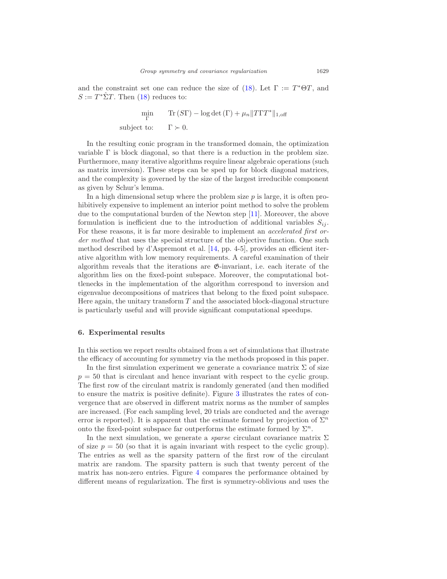and the constraint set one can reduce the size of [\(18\)](#page-24-1). Let  $\Gamma := T^* \Theta T$ , and  $S := T^* \hat{\Sigma} T$ . Then [\(18\)](#page-24-1) reduces to:

$$
\min_{\Gamma} \qquad \text{Tr}(S\Gamma) - \log \det(\Gamma) + \mu_n \|TTT^*\|_{1,\text{off}}
$$
\n
$$
\text{subject to:} \qquad \Gamma \succ 0.
$$

In the resulting conic program in the transformed domain, the optimization variable  $\Gamma$  is block diagonal, so that there is a reduction in the problem size. Furthermore, many iterative algorithms require linear algebraic operations (such as matrix inversion). These steps can be sped up for block diagonal matrices, and the complexity is governed by the size of the largest irreducible component as given by Schur's lemma.

In a high dimensional setup where the problem size  $p$  is large, it is often prohibitively expensive to implement an interior point method to solve the problem due to the computational burden of the Newton step [\[11](#page-38-11)]. Moreover, the above formulation is inefficient due to the introduction of additional variables  $S_{ii}$ . For these reasons, it is far more desirable to implement an accelerated first order method that uses the special structure of the objective function. One such method described by d'Aspremont et al. [\[14,](#page-39-15) pp. 4-5], provides an efficient iterative algorithm with low memory requirements. A careful examination of their algorithm reveals that the iterations are G-invariant, i.e. each iterate of the algorithm lies on the fixed-point subspace. Moreover, the computational bottlenecks in the implementation of the algorithm correspond to inversion and eigenvalue decompositions of matrices that belong to the fixed point subspace. Here again, the unitary transform  $T$  and the associated block-diagonal structure is particularly useful and will provide significant computational speedups.

## <span id="page-29-0"></span>6. Experimental results

In this section we report results obtained from a set of simulations that illustrate the efficacy of accounting for symmetry via the methods proposed in this paper.

In the first simulation experiment we generate a covariance matrix  $\Sigma$  of size  $p = 50$  that is circulant and hence invariant with respect to the cyclic group. The first row of the circulant matrix is randomly generated (and then modified to ensure the matrix is positive definite). Figure [3](#page-30-0) illustrates the rates of convergence that are observed in different matrix norms as the number of samples are increased. (For each sampling level, 20 trials are conducted and the average error is reported). It is apparent that the estimate formed by projection of  $\Sigma^n$ onto the fixed-point subspace far outperforms the estimate formed by  $\Sigma<sup>n</sup>$ .

In the next simulation, we generate a *sparse* circulant covariance matrix  $\Sigma$ of size  $p = 50$  (so that it is again invariant with respect to the cyclic group). The entries as well as the sparsity pattern of the first row of the circulant matrix are random. The sparsity pattern is such that twenty percent of the matrix has non-zero entries. Figure [4](#page-30-1) compares the performance obtained by different means of regularization. The first is symmetry-oblivious and uses the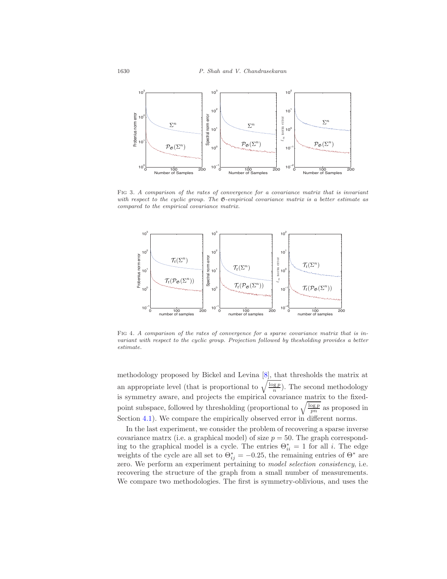

<span id="page-30-0"></span>Fig 3*. A comparison of the rates of convergence for a covariance matrix that is invariant with respect to the cyclic group. The* G*-empirical covariance matrix is a better estimate as compared to the empirical covariance matrix.*



<span id="page-30-1"></span>Fig 4*. A comparison of the rates of convergence for a sparse covariance matrix that is invariant with respect to the cyclic group. Projection followed by thesholding provides a better estimate.*

methodology proposed by Bickel and Levina [\[8\]](#page-38-1), that thresholds the matrix at an appropriate level (that is proportional to  $\sqrt{\frac{\log p}{n}}$ ). The second methodology is symmetry aware, and projects the empirical covariance matrix to the fixedpoint subspace, followed by thresholding (proportional to  $\sqrt{\frac{\log p}{pn}}$  as proposed in Section [4.1\)](#page-21-1). We compare the empirically observed error in different norms.

In the last experiment, we consider the problem of recovering a sparse inverse covariance matrix (i.e. a graphical model) of size  $p = 50$ . The graph corresponding to the graphical model is a cycle. The entries  $\Theta_{ii}^* = 1$  for all *i*. The edge weights of the cycle are all set to  $\Theta_{ij}^* = -0.25$ , the remaining entries of  $\Theta^*$  are zero. We perform an experiment pertaining to model selection consistency, i.e. recovering the structure of the graph from a small number of measurements. We compare two methodologies. The first is symmetry-oblivious, and uses the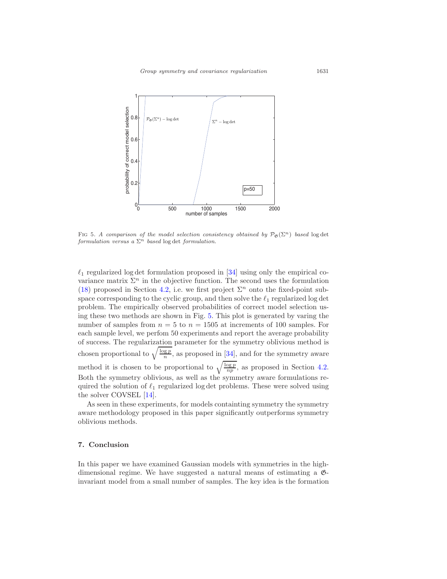

<span id="page-31-1"></span>FIG 5*. A comparison of the model selection consistency obtained by*  $\mathcal{P}_{\mathfrak{G}}(\Sigma^n)$  *based log det formulation versus a*  $\Sigma^n$  *based* log det *formulation.* 

 $\ell_1$  regularized log det formulation proposed in [\[34\]](#page-40-1) using only the empirical covariance matrix  $\Sigma^n$  in the objective function. The second uses the formulation [\(18\)](#page-24-1) proposed in Section [4.2,](#page-23-0) i.e. we first project  $\Sigma<sup>n</sup>$  onto the fixed-point subspace corresponding to the cyclic group, and then solve the  $\ell_1$  regularized log det problem. The empirically observed probabilities of correct model selection using these two methods are shown in Fig. [5.](#page-31-1) This plot is generated by varing the number of samples from  $n = 5$  to  $n = 1505$  at increments of 100 samples. For each sample level, we perfom 50 experiments and report the average probability of success. The regularization parameter for the symmetry oblivious method is chosen proportional to  $\sqrt{\frac{\log p}{n}}$ , as proposed in [\[34\]](#page-40-1), and for the symmetry aware method it is chosen to be proportional to  $\sqrt{\frac{\log p}{np}}$ , as proposed in Section [4.2.](#page-23-0) Both the symmetry oblivious, as well as the symmetry aware formulations required the solution of  $\ell_1$  regularized log det problems. These were solved using the solver COVSEL [\[14](#page-39-15)].

As seen in these experiments, for models containting symmetry the symmetry aware methodology proposed in this paper significantly outperforms symmetry oblivious methods.

# <span id="page-31-0"></span>7. Conclusion

In this paper we have examined Gaussian models with symmetries in the highdimensional regime. We have suggested a natural means of estimating a Ginvariant model from a small number of samples. The key idea is the formation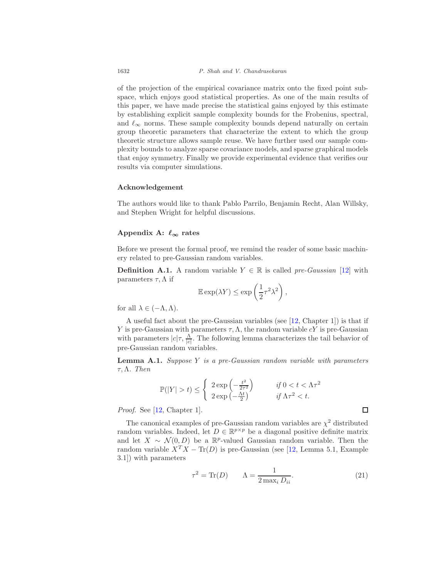of the projection of the empirical covariance matrix onto the fixed point subspace, which enjoys good statistical properties. As one of the main results of this paper, we have made precise the statistical gains enjoyed by this estimate by establishing explicit sample complexity bounds for the Frobenius, spectral, and  $\ell_{\infty}$  norms. These sample complexity bounds depend naturally on certain group theoretic parameters that characterize the extent to which the group theoretic structure allows sample reuse. We have further used our sample complexity bounds to analyze sparse covariance models, and sparse graphical models that enjoy symmetry. Finally we provide experimental evidence that verifies our results via computer simulations.

#### <span id="page-32-0"></span>Acknowledgement

The authors would like to thank Pablo Parrilo, Benjamin Recht, Alan Willsky, and Stephen Wright for helpful discussions.

# <span id="page-32-1"></span>Appendix A:  $\ell_{\infty}$  rates

Before we present the formal proof, we remind the reader of some basic machinery related to pre-Gaussian random variables.

**Definition A.1.** A random variable  $Y \in \mathbb{R}$  is called pre-Gaussian [\[12](#page-39-16)] with parameters  $\tau$ ,  $\Lambda$  if

$$
\mathbb{E}\exp(\lambda Y) \le \exp\left(\frac{1}{2}\tau^2\lambda^2\right),\,
$$

for all  $\lambda \in (-\Lambda, \Lambda)$ .

A useful fact about the pre-Gaussian variables (see [\[12,](#page-39-16) Chapter 1]) is that if Y is pre-Gaussian with parameters  $\tau$ ,  $\Lambda$ , the random variable cY is pre-Gaussian with parameters  $|c|\tau, \frac{\Lambda}{|c|}$ . The following lemma characterizes the tail behavior of pre-Gaussian random variables.

<span id="page-32-3"></span>**Lemma A.1.** Suppose Y is a pre-Gaussian random variable with parameters τ,Λ. Then

$$
\mathbb{P}(|Y| > t) \le \begin{cases} 2\exp\left(-\frac{t^2}{2\tau^2}\right) & \text{if } 0 < t < \Lambda\tau^2\\ 2\exp\left(-\frac{\Lambda t}{2}\right) & \text{if } \Lambda\tau^2 < t. \end{cases}
$$

Proof. See [\[12](#page-39-16), Chapter 1].

The canonical examples of pre-Gaussian random variables are  $\chi^2$  distributed random variables. Indeed, let  $D \in \mathbb{R}^{p \times p}$  be a diagonal positive definite matrix and let  $X \sim \mathcal{N}(0, D)$  be a R<sup>p</sup>-valued Gaussian random variable. Then the random variable  $X^T X - \text{Tr}(D)$  is pre-Gaussian (see [\[12](#page-39-16), Lemma 5.1, Example 3.1]) with parameters

<span id="page-32-2"></span>
$$
\tau^2 = \text{Tr}(D) \qquad \Lambda = \frac{1}{2 \max_i D_{ii}}.\tag{21}
$$

 $\Box$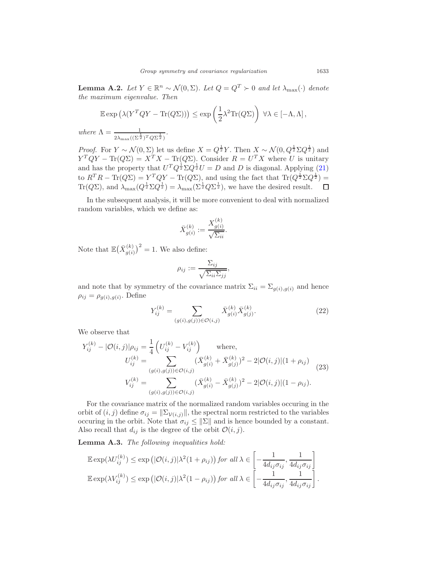<span id="page-33-0"></span>**Lemma A.2.** Let  $Y \in \mathbb{R}^n \sim \mathcal{N}(0, \Sigma)$ . Let  $Q = Q^T \succ 0$  and let  $\lambda_{\max}(\cdot)$  denote the maximum eigenvalue. Then

$$
\mathbb{E} \exp \left( \lambda (Y^T Q Y - \text{Tr}(Q \Sigma)) \right) \le \exp \left( \frac{1}{2} \lambda^2 \text{Tr}(Q \Sigma) \right) \ \forall \lambda \in [-\Lambda, \Lambda],
$$

where  $\Lambda = \frac{1}{2\lambda_{\text{max}}((\Sigma^{\frac{1}{2}})^T Q \Sigma^{\frac{1}{2}})}$ .

*Proof.* For  $Y \sim \mathcal{N}(0, \Sigma)$  let us define  $X = Q^{\frac{1}{2}}Y$ . Then  $X \sim \mathcal{N}(0, Q^{\frac{1}{2}}\Sigma Q^{\frac{1}{2}})$  and  $Y^T Q Y - \text{Tr}(Q \Sigma) = X^T X - \text{Tr}(Q \Sigma)$ . Consider  $R = U^T X$  where U is unitary and has the property that  $U^T Q^{\frac{1}{2}} \Sigma Q^{\frac{1}{2}} U = D$  and D is diagonal. Applying [\(21\)](#page-32-2) to  $R^T R - \text{Tr}(Q\Sigma) = Y^T Q Y - \text{Tr}(Q\Sigma)$ , and using the fact that  $\text{Tr}(Q^{\frac{1}{2}} \Sigma Q^{\frac{1}{2}}) =$ Tr( $Q\Sigma$ ), and  $\lambda_{\text{max}}(Q^{\frac{1}{2}}\Sigma Q^{\frac{1}{2}}) = \lambda_{\text{max}}(\Sigma^{\frac{1}{2}}Q\Sigma^{\frac{1}{2}})$ , we have the desired result.

In the subsequent analysis, it will be more convenient to deal with normalized random variables, which we define as:

$$
\bar{X}_{g(i)}^{(k)} := \frac{X_{g(i)}^{(k)}}{\sqrt{\Sigma_{ii}}}.
$$

Note that  $\mathbb{E}(\bar{X}_{a(i)}^{(k)})$  $\binom{(k)}{g(i)}^2 = 1$ . We also define:

$$
\rho_{ij} := \frac{\Sigma_{ij}}{\sqrt{\Sigma_{ii}\Sigma_{jj}}},
$$

and note that by symmetry of the covariance matrix  $\Sigma_{ii} = \Sigma_{g(i),g(i)}$  and hence  $\rho_{ij} = \rho_{g(i),g(i)}$ . Define

$$
Y_{ij}^{(k)} = \sum_{(g(i),g(j)) \in \mathcal{O}(i,j)} \bar{X}_{g(i)}^{(k)} \bar{X}_{g(j)}^{(k)}.
$$
 (22)

We observe that

<span id="page-33-1"></span>
$$
Y_{ij}^{(k)} - |\mathcal{O}(i,j)|\rho_{ij} = \frac{1}{4} \left( U_{ij}^{(k)} - V_{ij}^{(k)} \right) \text{ where,}
$$
  
\n
$$
U_{ij}^{(k)} = \sum_{(g(i),g(j)) \in \mathcal{O}(i,j)} (\bar{X}_{g(i)}^{(k)} + \bar{X}_{g(j)}^{(k)})^2 - 2|\mathcal{O}(i,j)|(1 + \rho_{ij})
$$
  
\n
$$
V_{ij}^{(k)} = \sum_{(g(i),g(j)) \in \mathcal{O}(i,j)} (\bar{X}_{g(i)}^{(k)} - \bar{X}_{g(j)}^{(k)})^2 - 2|\mathcal{O}(i,j)|(1 - \rho_{ij}).
$$
\n(23)

For the covariance matrix of the normalized random variables occuring in the orbit of  $(i, j)$  define  $\sigma_{ij} = ||\Sigma_{\mathcal{V}(i,j)}||$ , the spectral norm restricted to the variables occuring in the orbit. Note that  $\sigma_{ij} \leq ||\Sigma||$  and is hence bounded by a constant. Also recall that  $d_{ij}$  is the degree of the orbit  $\mathcal{O}(i, j)$ .

<span id="page-33-2"></span>Lemma A.3. The following inequalities hold:

$$
\mathbb{E} \exp(\lambda U_{ij}^{(k)}) \le \exp\left(|\mathcal{O}(i,j)|\lambda^2(1+\rho_{ij})\right) \text{ for all } \lambda \in \left[-\frac{1}{4d_{ij}\sigma_{ij}}, \frac{1}{4d_{ij}\sigma_{ij}}\right] \\
\mathbb{E} \exp(\lambda V_{ij}^{(k)}) \le \exp\left(|\mathcal{O}(i,j)|\lambda^2(1-\rho_{ij})\right) \text{ for all } \lambda \in \left[-\frac{1}{4d_{ij}\sigma_{ij}}, \frac{1}{4d_{ij}\sigma_{ij}}\right].
$$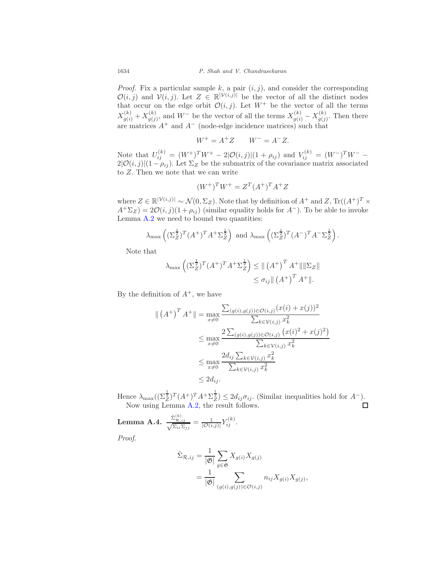*Proof.* Fix a particular sample k, a pair  $(i, j)$ , and consider the corresponding  $\mathcal{O}(i,j)$  and  $\mathcal{V}(i,j)$ . Let  $Z \in \mathbb{R}^{|\mathcal{V}(i,j)|}$  be the vector of all the distinct nodes that occur on the edge orbit  $\mathcal{O}(i, j)$ . Let  $W^+$  be the vector of all the terms  $X_{g(i)}^{(k)}+X_{g(j)}^{(k)}$  $g_{(j)}^{(k)}$ , and  $W^-$  be the vector of all the terms  $X_{g(i)}^{(k)} - X_{g(j)}^{(k)}$  $g(j)$ . Then there are matrices  $A^+$  and  $A^-$  (node-edge incidence matrices) such that

$$
W^+ = A^+ Z \qquad W^- = A^- Z.
$$

Note that  $U_{ij}^{(k)} = (W^+)^T W^+ - 2|\mathcal{O}(i,j)|(1+\rho_{ij})$  and  $V_{ij}^{(k)} = (W^-)^T W^- - 1$  $2|\mathcal{O}(i,j)|(1-\rho_{ij})$ . Let  $\Sigma_Z$  be the submatrix of the covariance matrix associated to Z. Then we note that we can write

$$
(W^+)^T W^+ = Z^T (A^+)^T A^+ Z
$$

where  $Z \in \mathbb{R}^{|\mathcal{V}(i,j)|} \sim \mathcal{N}(0, \Sigma_Z)$ . Note that by definition of  $A^+$  and  $Z$ ,  $\text{Tr}((A^+)^T \times$  $A^+\Sigma_Z$ ) = 2 $\mathcal{O}(i,j)(1+\rho_{ij})$  (similar equality holds for  $A^-$ ). To be able to invoke Lemma [A.2](#page-33-0) we need to bound two quantities:

$$
\lambda_{\max}\left( (\Sigma_Z^{\frac{1}{2}})^T (A^+)^T A^+ \Sigma_Z^{\frac{1}{2}} \right) \text{ and } \lambda_{\max}\left( (\Sigma_Z^{\frac{1}{2}})^T (A^-)^T A^- \Sigma_Z^{\frac{1}{2}} \right).
$$

Note that

$$
\lambda_{\max}\left( (\Sigma_Z^{\frac{1}{2}})^T (A^+)^T A^+ \Sigma_Z^{\frac{1}{2}} \right) \le || (A^+)^T A^+ || ||\Sigma_Z||
$$
  

$$
\le \sigma_{ij} || (A^+)^T A^+ ||.
$$

By the definition of  $A^+$ , we have

$$
|| (A^+)^T A^+ || = \max_{x \neq 0} \frac{\sum_{(g(i), g(j)) \in \mathcal{O}(i,j)} (x(i) + x(j))^2}{\sum_{k \in \mathcal{V}(i,j)} x_k^2}
$$
  

$$
\leq \max_{x \neq 0} \frac{2 \sum_{(g(i), g(j)) \in \mathcal{O}(i,j)} (x(i)^2 + x(j)^2)}{\sum_{k \in \mathcal{V}(i,j)} x_k^2}
$$
  

$$
\leq \max_{x \neq 0} \frac{2d_{ij} \sum_{k \in \mathcal{V}(i,j)} x_k^2}{\sum_{k \in \mathcal{V}(i,j)} x_k^2}
$$
  

$$
\leq 2d_{ij}.
$$

Hence  $\lambda_{\max}((\Sigma_Z^{\frac{1}{2}})^T (A^+)^T A^+ \Sigma_Z^{\frac{1}{2}}) \leq 2d_{ij}\sigma_{ij}$ . (Similar inequalities hold for  $A^-$ ). Now using Lemma [A.2,](#page-33-0) the result follows.

**Lemma A.4.** 
$$
\frac{\hat{\Sigma}_{\mathcal{R},ij}^{(k)}}{\sqrt{\Sigma_{ii}\Sigma_{jj}}} = \frac{1}{|\mathcal{O}(i,j)|} Y_{ij}^{(k)}.
$$

Proof.

$$
\hat{\Sigma}_{\mathcal{R},ij} = \frac{1}{|\mathfrak{G}|} \sum_{g \in \mathfrak{G}} X_{g(i)} X_{g(j)} \n= \frac{1}{|\mathfrak{G}|} \sum_{(g(i),g(j)) \in \mathcal{O}(i,j)} n_{ij} X_{g(i)} X_{g(j)},
$$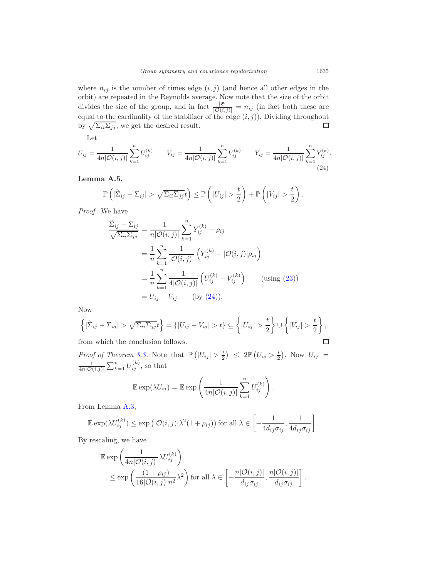where  $n_{ij}$  is the number of times edge  $(i, j)$  (and hence all other edges in the orbit) are repeated in the Reynolds average. Now note that the size of the orbit divides the size of the group, and in fact  $\frac{|\mathfrak{G}|}{|O(i,j)|} = n_{ij}$  (in fact both these are equal to the cardinality of the stabilizer of the edge  $(i, j)$ ). Dividing throughout by  $\sqrt{\sum_{ii}\sum_{jj}}$ , we get the desired result.  $\Box$ 

Let

$$
U_{ij} = \frac{1}{4n|\mathcal{O}(i,j)|} \sum_{k=1}^{n} U_{ij}^{(k)} \qquad V_{ij} = \frac{1}{4n|\mathcal{O}(i,j)|} \sum_{k=1}^{n} V_{ij}^{(k)} \qquad Y_{ij} = \frac{1}{4n|\mathcal{O}(i,j)|} \sum_{k=1}^{n} Y_{ij}^{(k)}.
$$
\n(24)

<span id="page-35-1"></span>Lemma A.5.

$$
\mathbb{P}\left(|\hat{\Sigma}_{ij} - \Sigma_{ij}| > \sqrt{\Sigma_{ii}\Sigma_{jj}}t\right) \leq \mathbb{P}\left(|U_{ij}| > \frac{t}{2}\right) + \mathbb{P}\left(|V_{ij}| > \frac{t}{2}\right).
$$

Proof. We have

$$
\frac{\hat{\Sigma}_{ij} - \Sigma_{ij}}{\sqrt{\Sigma_{ii}\Sigma_{jj}}} = \frac{1}{n|\mathcal{O}(i,j)|} \sum_{k=1}^{n} Y_{ij}^{(k)} - \rho_{ij}
$$
\n
$$
= \frac{1}{n} \sum_{k=1}^{n} \frac{1}{|\mathcal{O}(i,j)|} \left( Y_{ij}^{(k)} - |\mathcal{O}(i,j)| \rho_{ij} \right)
$$
\n
$$
= \frac{1}{n} \sum_{k=1}^{n} \frac{1}{4|\mathcal{O}(i,j)|} \left( U_{ij}^{(k)} - V_{ij}^{(k)} \right) \qquad \text{(using (23))}
$$
\n
$$
= U_{ij} - V_{ij} \qquad \text{(by (24))}.
$$

Now

$$
\left\{ |\hat{\Sigma}_{ij} - \Sigma_{ij}| > \sqrt{\Sigma_{ii} \Sigma_{jj}} t \right\} = \left\{ |U_{ij} - V_{ij}| > t \right\} \subseteq \left\{ |U_{ij}| > \frac{t}{2} \right\} \cup \left\{ |V_{ij}| > \frac{t}{2} \right\},\
$$
from which the conclusion follows.

from which the conclusion follows.

*Proof of Theorem [3.3.](#page-20-0)* Note that  $\mathbb{P}(|U_{ij}| > \frac{t}{2}) \leq 2\mathbb{P}(U_{ij} > \frac{t}{2})$ . Now  $U_{ij} =$  $\frac{1}{4n|\mathcal{O}(i,j)|}\sum_{k=1}^n U_{ij}^{(k)}$ , so that

$$
\mathbb{E}\exp(\lambda U_{ij}) = \mathbb{E}\exp\left(\frac{1}{4n|\mathcal{O}(i,j)|}\sum_{k=1}^n U_{ij}^{(k)}\right).
$$

From Lemma [A.3,](#page-33-2)

$$
\mathbb{E} \exp(\lambda U_{ij}^{(k)}) \le \exp\left(|\mathcal{O}(i,j)|\lambda^2(1+\rho_{ij})\right) \text{ for all } \lambda \in \left[-\frac{1}{4d_{ij}\sigma_{ij}}, \frac{1}{4d_{ij}\sigma_{ij}}\right].
$$

By rescaling, we have

$$
\mathbb{E} \exp\left(\frac{1}{4n|\mathcal{O}(i,j)|}\lambda U_{ij}^{(k)}\right) \le \exp\left(\frac{(1+\rho_{ij})}{16|\mathcal{O}(i,j)|n^2}\lambda^2\right) \text{ for all } \lambda \in \left[-\frac{n|\mathcal{O}(i,j)|}{d_{ij}\sigma_{ij}}, \frac{n|\mathcal{O}(i,j)|}{d_{ij}\sigma_{ij}}\right]
$$

<span id="page-35-0"></span>

.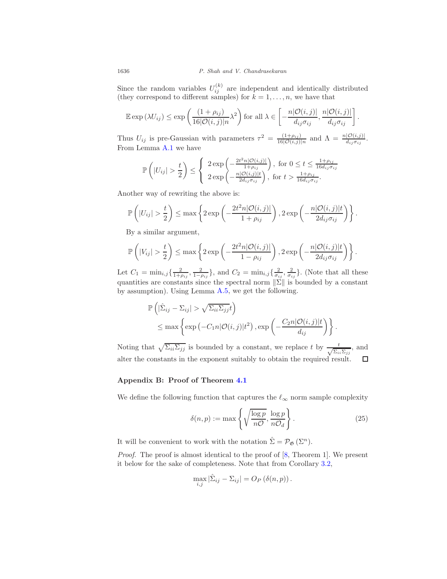Since the random variables  $U_{ij}^{(k)}$  are independent and identically distributed (they correspond to different samples) for  $k = 1, \ldots, n$ , we have that

$$
\mathbb{E}\exp\left(\lambda U_{ij}\right) \leq \exp\left(\frac{(1+\rho_{ij})}{16|\mathcal{O}(i,j)|n}\lambda^2\right) \text{ for all } \lambda \in \left[-\frac{n|\mathcal{O}(i,j)|}{d_{ij}\sigma_{ij}}, \frac{n|\mathcal{O}(i,j)|}{d_{ij}\sigma_{ij}}\right].
$$

Thus  $U_{ij}$  is pre-Gaussian with parameters  $\tau^2 = \frac{(1+\rho_{ij})}{16|\mathcal{O}(i,j)|}$  $\frac{(1+\rho_{ij})}{16|\mathcal{O}(i,j)|n}$  and  $\Lambda = \frac{n|\mathcal{O}(i,j)|}{d_{ij}\sigma_{ij}}$ . From Lemma [A.1](#page-32-3) we have

$$
\mathbb{P}\left(|U_{ij}| > \frac{t}{2}\right) \leq \begin{cases} 2\exp\left(-\frac{2t^2n|\mathcal{O}(i,j)|}{1+\rho_{ij}}\right), \text{ for } 0 \leq t \leq \frac{1+\rho_{ij}}{16d_{ij}\sigma_{ij}}\\ 2\exp\left(-\frac{n|\mathcal{O}(i,j)|t}{2d_{ij}\sigma_{ij}}\right), \text{ for } t > \frac{1+\rho_{ij}}{16d_{ij}\sigma_{ij}}.\end{cases}
$$

Another way of rewriting the above is:

$$
\mathbb{P}\left(|U_{ij}| > \frac{t}{2}\right) \le \max\left\{2\exp\left(-\frac{2t^2n|\mathcal{O}(i,j)|}{1+\rho_{ij}}\right), 2\exp\left(-\frac{n|\mathcal{O}(i,j)|t}{2d_{ij}\sigma_{ij}}\right)\right\}.
$$

By a similar argument,

$$
\mathbb{P}\left(|V_{ij}| > \frac{t}{2}\right) \leq \max\left\{2\exp\left(-\frac{2t^2n|\mathcal{O}(i,j)|}{1-\rho_{ij}}\right), 2\exp\left(-\frac{n|\mathcal{O}(i,j)|t}{2d_{ij}\sigma_{ij}}\right)\right\}.
$$

Let  $C_1 = \min_{i,j} {\{\frac{2}{1+\rho_{ij}}, \frac{2}{1-\rho_{ij}}\}}$ , and  $C_2 = \min_{i,j} {\{\frac{2}{\sigma_{ij}}, \frac{2}{\sigma_{ij}}\}}$ . (Note that all these quantities are constants since the spectral norm  $\|\Sigma\|$  is bounded by a constant by assumption). Using Lemma [A.5,](#page-35-1) we get the following.

$$
\mathbb{P}\left(|\hat{\Sigma}_{ij} - \Sigma_{ij}| > \sqrt{\Sigma_{ii}\Sigma_{jj}}t\right) \le \max\left\{\exp\left(-C_1n|\mathcal{O}(i,j)|t^2\right), \exp\left(-\frac{C_2n|\mathcal{O}(i,j)|t}{d_{ij}}\right)\right\}.
$$

Noting that  $\sqrt{\Sigma_{ii}\Sigma_{jj}}$  is bounded by a constant, we replace t by  $\frac{t}{\sqrt{\Sigma_{ii}\Sigma_{jj}}},$  and alter the constants in the exponent suitably to obtain the required result.  $\Box$ 

# <span id="page-36-0"></span>Appendix B: Proof of Theorem [4.1](#page-22-0)

We define the following function that captures the  $\ell_{\infty}$  norm sample complexity

$$
\delta(n, p) := \max \left\{ \sqrt{\frac{\log p}{n\mathcal{O}}}, \frac{\log p}{n\mathcal{O}_d} \right\}.
$$
 (25)

It will be convenient to work with the notation  $\hat{\Sigma} = \mathcal{P}_{\mathfrak{G}}(\Sigma^n)$ .

Proof. The proof is almost identical to the proof of  $[8,$  Theorem 1]. We present it below for the sake of completeness. Note that from Corollary [3.2,](#page-20-1)

$$
\max_{i,j} |\hat{\Sigma}_{ij} - \Sigma_{ij}| = O_P(\delta(n,p)).
$$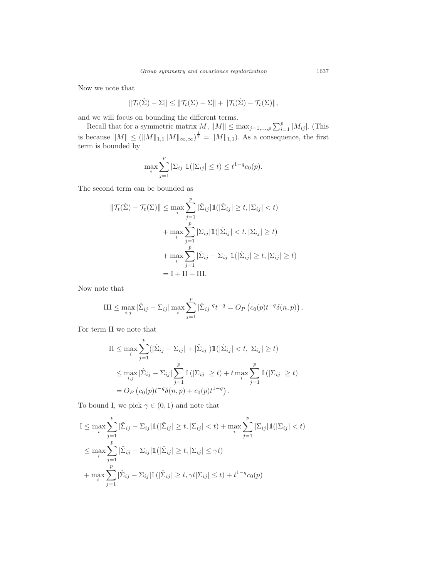Now we note that

$$
\|\mathcal{T}_t(\hat{\Sigma}) - \Sigma\| \le \|\mathcal{T}_t(\Sigma) - \Sigma\| + \|\mathcal{T}_t(\hat{\Sigma}) - \mathcal{T}_t(\Sigma)\|,
$$

and we will focus on bounding the different terms.

Recall that for a symmetric matrix  $M$ ,  $||M|| \leq \max_{j=1,\dots,p} \sum_{i=1}^p |M_{ij}|$ . (This is because  $||M|| \le (||M||_{1,1}||M||_{\infty,\infty})^{\frac{1}{2}} = ||M||_{1,1}$ ). As a consequence, the first term is bounded by

$$
\max_{i} \sum_{j=1}^{p} |\Sigma_{ij}| \mathbb{1}(|\Sigma_{ij}| \le t) \le t^{1-q} c_0(p).
$$

The second term can be bounded as

$$
\|\mathcal{T}_t(\hat{\Sigma}) - \mathcal{T}_t(\Sigma)\| \le \max_i \sum_{j=1}^p |\hat{\Sigma}_{ij}| \mathbb{1}(|\hat{\Sigma}_{ij}| \ge t, |\Sigma_{ij}| < t)
$$
  
+ 
$$
\max_i \sum_{j=1}^p |\Sigma_{ij}| \mathbb{1}(|\hat{\Sigma}_{ij}| < t, |\Sigma_{ij}| \ge t)
$$
  
+ 
$$
\max_i \sum_{j=1}^p |\hat{\Sigma}_{ij} - \Sigma_{ij}| \mathbb{1}(|\hat{\Sigma}_{ij}| \ge t, |\Sigma_{ij}| \ge t)
$$
  
= I + II + III.

Now note that

III 
$$
\leq \max_{i,j} |\hat{\Sigma}_{ij} - \Sigma_{ij}| \max_{i} \sum_{j=1}^{p} |\hat{\Sigma}_{ij}|^q t^{-q} = O_P \left( c_0(p) t^{-q} \delta(n, p) \right).
$$

For term II we note that

$$
\begin{split} \text{II} &\leq \max_{i} \sum_{j=1}^{p} (|\hat{\Sigma}_{ij} - \Sigma_{ij}| + |\hat{\Sigma}_{ij}|) \mathbb{1}(|\hat{\Sigma}_{ij}| < t, |\Sigma_{ij}| \geq t) \\ &\leq \max_{i,j} |\hat{\Sigma}_{ij} - \Sigma_{ij}| \sum_{j=1}^{p} \mathbb{1}(|\Sigma_{ij}| \geq t) + t \max_{i} \sum_{j=1}^{p} \mathbb{1}(|\Sigma_{ij}| \geq t) \\ &= O_P\left(c_0(p)t^{-q}\delta(n, p) + c_0(p)t^{1-q}\right). \end{split}
$$

To bound I, we pick  $\gamma \in (0,1)$  and note that

$$
I \leq \max_{i} \sum_{j=1}^{p} |\hat{\Sigma}_{ij} - \Sigma_{ij}| \mathbb{1}(|\hat{\Sigma}_{ij}| \geq t, |\Sigma_{ij}| < t) + \max_{i} \sum_{j=1}^{p} |\Sigma_{ij}| \mathbb{1}(|\Sigma_{ij}| < t)
$$
  

$$
\leq \max_{i} \sum_{j=1}^{p} |\hat{\Sigma}_{ij} - \Sigma_{ij}| \mathbb{1}(|\hat{\Sigma}_{ij}| \geq t, |\Sigma_{ij}| \leq \gamma t)
$$
  

$$
+ \max_{i} \sum_{j=1}^{p} |\hat{\Sigma}_{ij} - \Sigma_{ij}| \mathbb{1}(|\hat{\Sigma}_{ij}| \geq t, \gamma t | \Sigma_{ij}| \leq t) + t^{1-q} c_0(p)
$$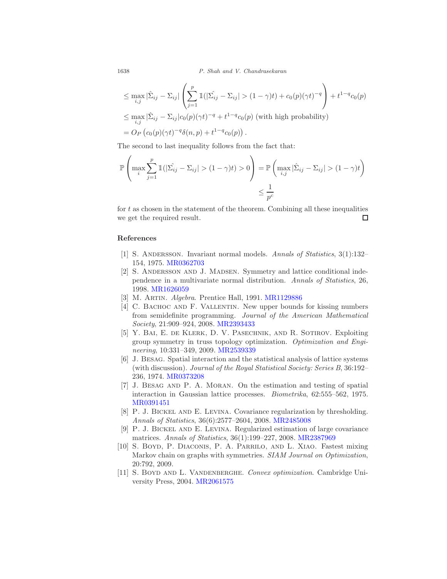1638 *P. Shah and V. Chandrasekaran*

$$
\leq \max_{i,j} |\hat{\Sigma}_{ij} - \Sigma_{ij}| \left( \sum_{j=1}^p \mathbb{1}(|\hat{\Sigma}_{ij} - \Sigma_{ij}| > (1 - \gamma)t) + c_0(p)(\gamma t)^{-q} \right) + t^{1-q} c_0(p)
$$
  
\n
$$
\leq \max_{i,j} |\hat{\Sigma}_{ij} - \Sigma_{ij}|c_0(p)(\gamma t)^{-q} + t^{1-q} c_0(p)
$$
 (with high probability)  
\n
$$
= O_P \left( c_0(p)(\gamma t)^{-q} \delta(n, p) + t^{1-q} c_0(p) \right).
$$

The second to last inequality follows from the fact that:

$$
\mathbb{P}\left(\max_{i}\sum_{j=1}^{p} \mathbb{1}(|\hat{\Sigma}_{ij} - \Sigma_{ij}| > (1-\gamma)t) > 0\right) = \mathbb{P}\left(\max_{i,j} |\hat{\Sigma}_{ij} - \Sigma_{ij}| > (1-\gamma)t\right) \le \frac{1}{p^{c}}
$$

for  $t$  as chosen in the statement of the theorem. Combining all these inequalities we get the required result.  $\Box$ 

## <span id="page-38-0"></span>References

- <span id="page-38-3"></span>[1] S. Andersson. Invariant normal models. Annals of Statistics, 3(1):132– 154, 1975. [MR0362703](http://www.ams.org/mathscinet-getitem?mr=0362703)
- <span id="page-38-4"></span>[2] S. Andersson and J. Madsen. Symmetry and lattice conditional independence in a multivariate normal distribution. Annals of Statistics, 26, 1998. [MR1626059](http://www.ams.org/mathscinet-getitem?mr=1626059)
- <span id="page-38-10"></span>[3] M. Artin. Algebra. Prentice Hall, 1991. [MR1129886](http://www.ams.org/mathscinet-getitem?mr=1129886)
- <span id="page-38-7"></span>[4] C. Bachoc and F. Vallentin. New upper bounds for kissing numbers from semidefinite programming. Journal of the American Mathematical Society, 21:909–924, 2008. [MR2393433](http://www.ams.org/mathscinet-getitem?mr=2393433)
- <span id="page-38-8"></span>[5] Y. Bai, E. de Klerk, D. V. Pasechnik, and R. Sotirov. Exploiting group symmetry in truss topology optimization. Optimization and Engineering, 10:331–349, 2009. [MR2539339](http://www.ams.org/mathscinet-getitem?mr=2539339)
- <span id="page-38-5"></span>[6] J. Besag. Spatial interaction and the statistical analysis of lattice systems (with discussion). Journal of the Royal Statistical Society: Series B, 36:192– 236, 1974. [MR0373208](http://www.ams.org/mathscinet-getitem?mr=0373208)
- <span id="page-38-6"></span>[7] J. Besag and P. A. Moran. On the estimation and testing of spatial interaction in Gaussian lattice processes. Biometrika, 62:555–562, 1975. [MR0391451](http://www.ams.org/mathscinet-getitem?mr=0391451)
- <span id="page-38-1"></span>[8] P. J. BICKEL AND E. LEVINA. Covariance regularization by thresholding. Annals of Statistics, 36(6):2577–2604, 2008. [MR2485008](http://www.ams.org/mathscinet-getitem?mr=2485008)
- <span id="page-38-2"></span>[9] P. J. Bickel and E. Levina. Regularized estimation of large covariance matrices. Annals of Statistics, 36(1):199–227, 2008. [MR2387969](http://www.ams.org/mathscinet-getitem?mr=2387969)
- <span id="page-38-9"></span>[10] S. Boyd, P. Diaconis, P. A. Parrilo, and L. Xiao. Fastest mixing Markov chain on graphs with symmetries. SIAM Journal on Optimization, 20:792, 2009.
- <span id="page-38-11"></span>[11] S. BOYD AND L. VANDENBERGHE. Convex optimization. Cambridge University Press, 2004. [MR2061575](http://www.ams.org/mathscinet-getitem?mr=2061575)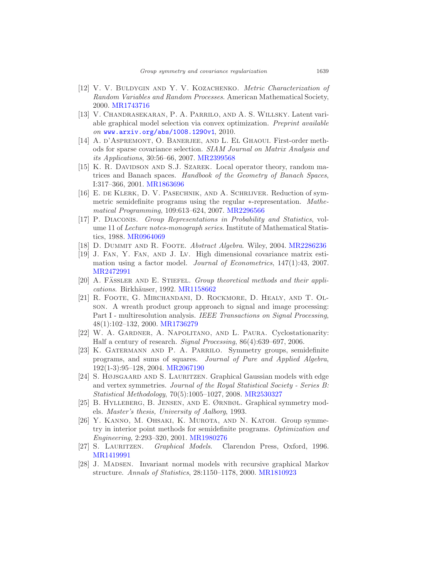- <span id="page-39-16"></span>[12] V. V. BULDYGIN AND Y. V. KOZACHENKO. Metric Characterization of Random Variables and Random Processes. American Mathematical Society, 2000. [MR1743716](http://www.ams.org/mathscinet-getitem?mr=1743716)
- <span id="page-39-14"></span>[13] V. Chandrasekaran, P. A. Parrilo, and A. S. Willsky. Latent variable graphical model selection via convex optimization. Preprint available on <www.arxiv.org/abs/1008.1290v1>, 2010.
- <span id="page-39-15"></span>[14] A. d'Aspremont, O. Banerjee, and L. El Ghaoui. First-order methods for sparse covariance selection. SIAM Journal on Matrix Analysis and its Applications, 30:56–66, 2007. [MR2399568](http://www.ams.org/mathscinet-getitem?mr=2399568)
- <span id="page-39-13"></span>[15] K. R. Davidson and S.J. Szarek. Local operator theory, random matrices and Banach spaces. Handbook of the Geometry of Banach Spaces, I:317–366, 2001. [MR1863696](http://www.ams.org/mathscinet-getitem?mr=1863696)
- <span id="page-39-7"></span>[16] E. DE KLERK, D. V. PASECHNIK, AND A. SCHRIJVER. Reduction of symmetric semidefinite programs using the regular ∗-representation. Mathematical Programming, 109:613–624, 2007. [MR2296566](http://www.ams.org/mathscinet-getitem?mr=2296566)
- <span id="page-39-2"></span>[17] P. Diaconis. Group Representations in Probability and Statistics, volume 11 of Lecture notes-monograph series. Institute of Mathematical Statistics, 1988. [MR0964069](http://www.ams.org/mathscinet-getitem?mr=0964069)
- <span id="page-39-11"></span>[18] D. DUMMIT AND R. FOOTE. Abstract Algebra. Wiley, 2004. [MR2286236](http://www.ams.org/mathscinet-getitem?mr=2286236)
- <span id="page-39-0"></span>[19] J. Fan, Y. Fan, and J. Lv. High dimensional covariance matrix estimation using a factor model. Journal of Econometrics, 147(1):43, 2007. [MR2472991](http://www.ams.org/mathscinet-getitem?mr=2472991)
- <span id="page-39-4"></span>[20] A. FÄSSLER AND E. STIEFEL. Group theoretical methods and their appli-cations. Birkhäuser, 1992. [MR1158662](http://www.ams.org/mathscinet-getitem?mr=1158662)
- <span id="page-39-12"></span>[21] R. Foote, G. Mirchandani, D. Rockmore, D. Healy, and T. Olson. A wreath product group approach to signal and image processing: Part I - multiresolution analysis. IEEE Transactions on Signal Processing, 48(1):102–132, 2000. [MR1736279](http://www.ams.org/mathscinet-getitem?mr=1736279)
- <span id="page-39-10"></span>[22] W. A. Gardner, A. Napolitano, and L. Paura. Cyclostationarity: Half a century of research. Signal Processing, 86(4):639–697, 2006.
- <span id="page-39-8"></span>[23] K. Gatermann and P. A. Parrilo. Symmetry groups, semidefinite programs, and sums of squares. Journal of Pure and Applied Algebra, 192(1-3):95–128, 2004. [MR2067190](http://www.ams.org/mathscinet-getitem?mr=2067190)
- <span id="page-39-3"></span>[24] S. Højsgaard and S. Lauritzen. Graphical Gaussian models with edge and vertex symmetries. Journal of the Royal Statistical Society - Series B: Statistical Methodology, 70(5):1005–1027, 2008. [MR2530327](http://www.ams.org/mathscinet-getitem?mr=2530327)
- <span id="page-39-5"></span>[25] B. Hylleberg, B. Jensen, and E. Ørnbøl. Graphical symmetry models. Master's thesis, University of Aalborg, 1993.
- <span id="page-39-9"></span>[26] Y. Kanno, M. Ohsaki, K. Murota, and N. Katoh. Group symmetry in interior point methods for semidefinite programs. Optimization and Engineering, 2:293–320, 2001. [MR1980276](http://www.ams.org/mathscinet-getitem?mr=1980276)
- <span id="page-39-1"></span>[27] S. LAURITZEN. Graphical Models. Clarendon Press, Oxford, 1996. [MR1419991](http://www.ams.org/mathscinet-getitem?mr=1419991)
- <span id="page-39-6"></span>[28] J. Madsen. Invariant normal models with recursive graphical Markov structure. Annals of Statistics, 28:1150–1178, 2000. [MR1810923](http://www.ams.org/mathscinet-getitem?mr=1810923)